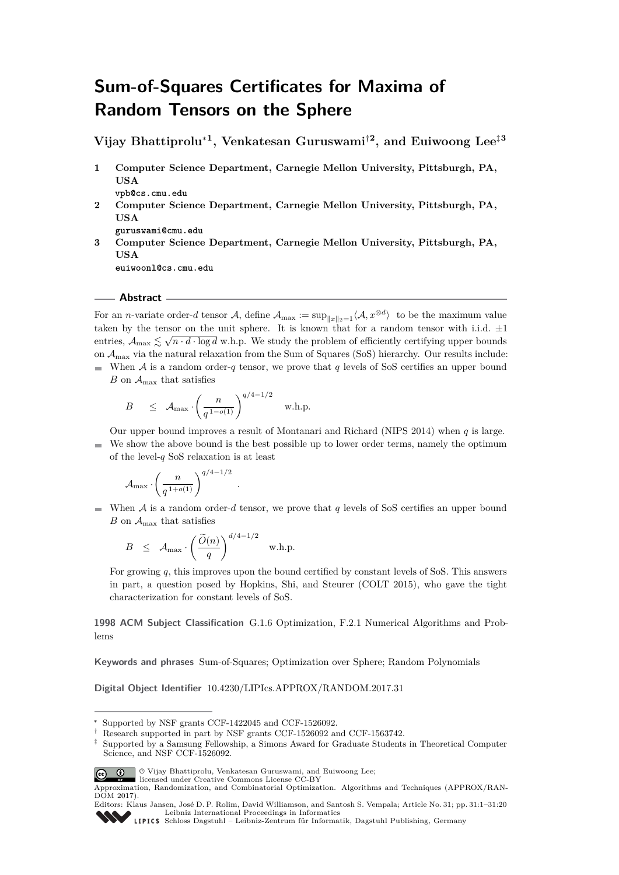# **Sum-of-Squares Certificates for Maxima of Random Tensors on the Sphere**

**Vijay Bhattiprolu**<sup>∗</sup>**<sup>1</sup> , Venkatesan Guruswami**†**<sup>2</sup> , and Euiwoong Lee**‡**<sup>3</sup>**

- **1 Computer Science Department, Carnegie Mellon University, Pittsburgh, PA, USA**
	- **vpb@cs.cmu.edu**
- **2 Computer Science Department, Carnegie Mellon University, Pittsburgh, PA, USA**

**guruswami@cmu.edu**

**3 Computer Science Department, Carnegie Mellon University, Pittsburgh, PA, USA**

**euiwoonl@cs.cmu.edu**

# **Abstract**

For an *n*-variate order-*d* tensor A, define  $A_{\max} := \sup_{\|x\|_2=1} \langle A, x^{\otimes d} \rangle$  to be the maximum value taken by the tensor on the unit sphere. It is known that for a random tensor with i.i.d.  $\pm 1$ entries,  $A_{\text{max}} \lesssim \sqrt{n \cdot d \cdot \log d}$  w.h.p. We study the problem of efficiently certifying upper bounds on  $\mathcal{A}_{\text{max}}$  via the natural relaxation from the Sum of Squares (SoS) hierarchy. Our results include:

When A is a random order-q tensor, we prove that q levels of SoS certifies an upper bound  $B$  on  $\mathcal{A}_{\text{max}}$  that satisfies

$$
B \quad \leq \quad \mathcal{A}_{\max} \cdot \left(\frac{n}{q^{1-o(1)}}\right)^{q/4-1/2} \quad \text{w.h.p.}
$$

*.*

Our upper bound improves a result of Montanari and Richard (NIPS 2014) when *q* is large. We show the above bound is the best possible up to lower order terms, namely the optimum  $\equiv$ of the level-*q* SoS relaxation is at least

$$
{\mathcal A}_{\max} \cdot \left(\frac{n}{q^{1+o(1)}}\right)^{q/4-1/2}
$$

When A is a random order-*d* tensor, we prove that *q* levels of SoS certifies an upper bound *B* on  $A_{\text{max}}$  that satisfies

$$
B \leq \mathcal{A}_{\max} \cdot \left(\frac{\widetilde{O}(n)}{q}\right)^{d/4 - 1/2} \quad \text{w.h.p.}
$$

For growing *q*, this improves upon the bound certified by constant levels of SoS. This answers in part, a question posed by Hopkins, Shi, and Steurer (COLT 2015), who gave the tight characterization for constant levels of SoS.

**1998 ACM Subject Classification** G.1.6 Optimization, F.2.1 Numerical Algorithms and Problems

**Keywords and phrases** Sum-of-Squares; Optimization over Sphere; Random Polynomials

**Digital Object Identifier** [10.4230/LIPIcs.APPROX/RANDOM.2017.31](http://dx.doi.org/10.4230/LIPIcs.APPROX/RANDOM.2017.31)

<sup>‡</sup> Supported by a Samsung Fellowship, a Simons Award for Graduate Students in Theoretical Computer Science, and NSF CCF-1526092.



© Vijay Bhattiprolu, Venkatesan Guruswami, and Euiwoong Lee; licensed under Creative Commons License CC-BY

Supported by NSF grants CCF-1422045 and CCF-1526092.

<sup>†</sup> Research supported in part by NSF grants CCF-1526092 and CCF-1563742.

Approximation, Randomization, and Combinatorial Optimization. Algorithms and Techniques (APPROX/RAN-DOM 2017).

Editors: Klaus Jansen, José D. P. Rolim, David Williamson, and Santosh S. Vempala; Article No. 31; pp. 31:1–31[:20](#page-19-0) [Leibniz International Proceedings in Informatics](http://www.dagstuhl.de/lipics/)

[Schloss Dagstuhl – Leibniz-Zentrum für Informatik, Dagstuhl Publishing, Germany](http://www.dagstuhl.de)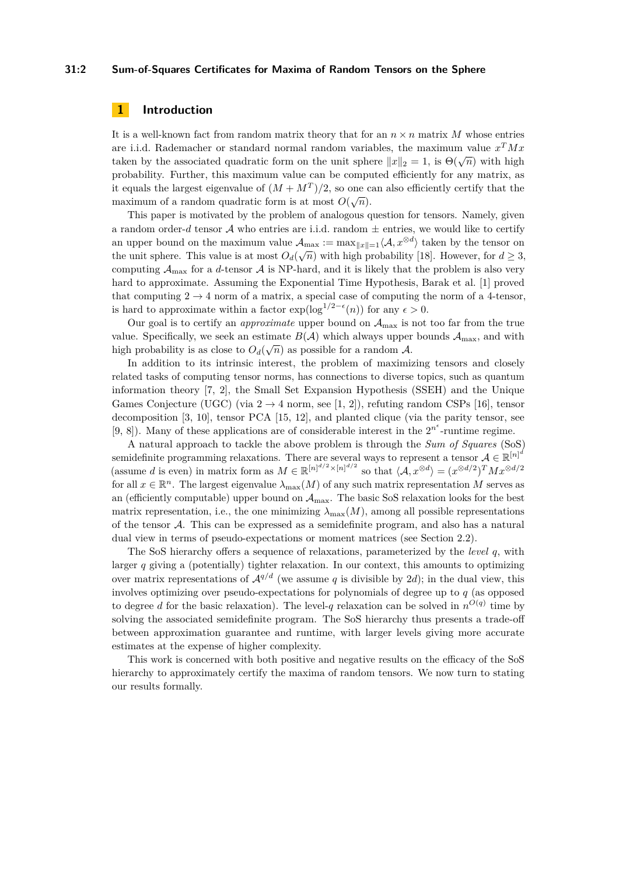## **31:2 Sum-of-Squares Certificates for Maxima of Random Tensors on the Sphere**

# **1 Introduction**

It is a well-known fact from random matrix theory that for an  $n \times n$  matrix M whose entries are i.i.d. Rademacher or standard normal random variables, the maximum value *x <sup>T</sup>Mx* taken by the associated quadratic form on the unit sphere  $||x||_2 = 1$ , is  $\Theta(\sqrt{n})$  with high probability. Further, this maximum value can be computed efficiently for any matrix, as it equals the largest eigenvalue of  $(M + M<sup>T</sup>)/2$ , so one can also efficiently certify that the maximum of a random quadratic form is at most  $O(\sqrt{n})$ .

This paper is motivated by the problem of analogous question for tensors. Namely, given a random order-*d* tensor  $A$  who entries are i.i.d. random  $\pm$  entries, we would like to certify an upper bound on the maximum value  $\mathcal{A}_{\text{max}} := \max_{\|x\|=1} \langle \mathcal{A}, x^{\otimes d} \rangle$  taken by the tensor on the unit sphere. This value is at most  $O_d(\sqrt{n})$  with high probability [\[18\]](#page-16-0). However, for  $d \geq 3$ , computing  $A_{\text{max}}$  for a *d*-tensor A is NP-hard, and it is likely that the problem is also very hard to approximate. Assuming the Exponential Time Hypothesis, Barak et al. [\[1\]](#page-15-0) proved that computing  $2 \rightarrow 4$  norm of a matrix, a special case of computing the norm of a 4-tensor, is hard to approximate within a factor  $\exp(\log^{1/2-\epsilon}(n))$  for any  $\epsilon > 0$ .

Our goal is to certify an *approximate* upper bound on Amax is not too far from the true value. Specifically, we seek an estimate  $B(\mathcal{A})$  which always upper bounds  $\mathcal{A}_{\text{max}}$ , and with high probability is as close to  $O_d(\sqrt{n})$  as possible for a random A.

In addition to its intrinsic interest, the problem of maximizing tensors and closely related tasks of computing tensor norms, has connections to diverse topics, such as quantum information theory [\[7,](#page-16-1) [2\]](#page-15-1), the Small Set Expansion Hypothesis (SSEH) and the Unique Games Conjecture (UGC) (via  $2 \rightarrow 4$  norm, see [\[1,](#page-15-0) [2\]](#page-15-1)), refuting random CSPs [\[16\]](#page-16-2), tensor decomposition [\[3,](#page-16-3) [10\]](#page-16-4), tensor PCA [\[15,](#page-16-5) [12\]](#page-16-6), and planted clique (via the parity tensor, see [\[9,](#page-16-7) [8\]](#page-16-8)). Many of these applications are of considerable interest in the  $2^{n^{\epsilon}}$ -runtime regime.

A natural approach to tackle the above problem is through the *Sum of Squares* (SoS) semidefinite programming relaxations. There are several ways to represent a tensor  $\mathcal{A} \in \mathbb{R}^{[n]^d}$  $\mathbb{R}^{n \times n}$  (assume *d* is even) in matrix form as  $M \in \mathbb{R}^{n \times (n)^{d/2} \times (n)^{d/2}}$  so that  $\langle A, x^{\otimes d} \rangle = (x^{\otimes d/2})^T M x^{\otimes d/2}$ for all  $x \in \mathbb{R}^n$ . The largest eigenvalue  $\lambda_{\max}(M)$  of any such matrix representation M serves as an (efficiently computable) upper bound on  $A_{\text{max}}$ . The basic SoS relaxation looks for the best matrix representation, i.e., the one minimizing  $\lambda_{\max}(M)$ , among all possible representations of the tensor A. This can be expressed as a semidefinite program, and also has a natural dual view in terms of pseudo-expectations or moment matrices (see Section [2.2\)](#page-4-0).

The SoS hierarchy offers a sequence of relaxations, parameterized by the *level q*, with larger  $q$  giving a (potentially) tighter relaxation. In our context, this amounts to optimizing over matrix representations of  $\mathcal{A}^{q/d}$  (we assume *q* is divisible by 2*d*); in the dual view, this involves optimizing over pseudo-expectations for polynomials of degree up to *q* (as opposed to degree *d* for the basic relaxation). The level-*q* relaxation can be solved in  $n^{O(q)}$  time by solving the associated semidefinite program. The SoS hierarchy thus presents a trade-off between approximation guarantee and runtime, with larger levels giving more accurate estimates at the expense of higher complexity.

This work is concerned with both positive and negative results on the efficacy of the SoS hierarchy to approximately certify the maxima of random tensors. We now turn to stating our results formally.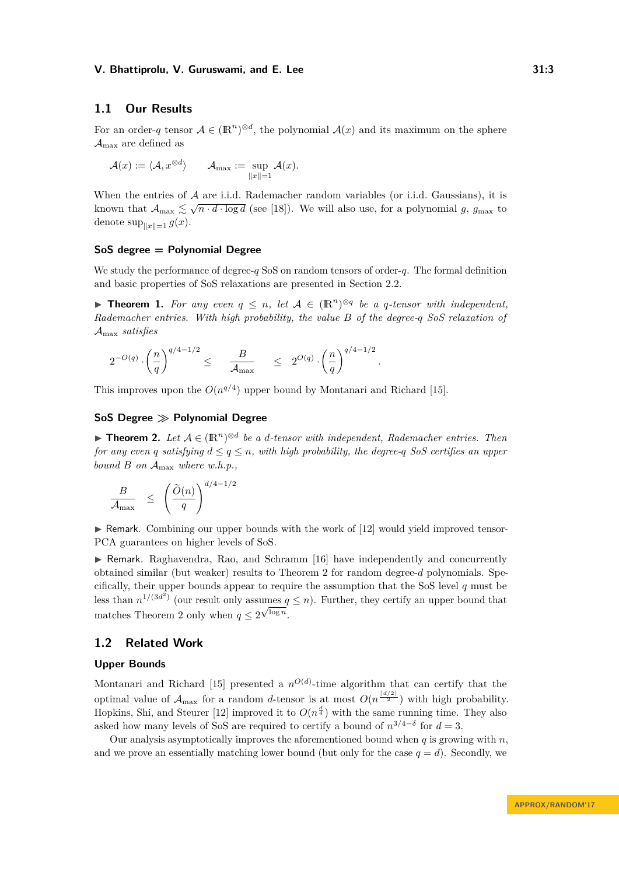# **1.1 Our Results**

For an order-*q* tensor  $A \in (\mathbb{R}^n)^{\otimes d}$ , the polynomial  $\mathcal{A}(x)$  and its maximum on the sphere  $\mathcal{A}_{\text{max}}$  are defined as

$$
\mathcal{A}(x):=\langle \mathcal{A}, x^{\otimes d} \rangle \qquad \mathcal{A}_{\max}:=\sup_{\|x\|=1} \mathcal{A}(x).
$$

When the entries of  $A$  are i.i.d. Rademacher random variables (or i.i.d. Gaussians), it is when the entries of  $A$  are 1.1.0. Rademacher random variables (or 1.1.0. Gaussians), it is<br>known that  $A_{\text{max}} \lesssim \sqrt{n \cdot d \cdot \log d}$  (see [\[18\]](#page-16-0)). We will also use, for a polynomial *g*,  $g_{\text{max}}$  to denote  $\sup_{\|x\|=1} g(x)$ .

# **SoS degree = Polynomial Degree**

We study the performance of degree-*q* SoS on random tensors of order-*q*. The formal definition and basic properties of SoS relaxations are presented in Section [2.2.](#page-4-0)

<span id="page-2-1"></span>▶ **Theorem 1.** For any even  $q \leq n$ , let  $A \in (\mathbb{R}^n)^{\otimes q}$  be a q-tensor with independent, *Rademacher entries. With high probability, the value B of the degree-q SoS relaxation of* Amax *satisfies*

*.*

$$
2^{-O(q)} \cdot \left(\frac{n}{q}\right)^{q/4 - 1/2} \le \frac{B}{\mathcal{A}_{\max}} \le 2^{O(q)} \cdot \left(\frac{n}{q}\right)^{q/4 - 1/2}
$$

This improves upon the  $O(n^{q/4})$  upper bound by Montanari and Richard [\[15\]](#page-16-5).

# **SoS Degree Polynomial Degree**

<span id="page-2-0"></span>**► Theorem 2.** Let  $A \in (\mathbb{R}^n)^{\otimes d}$  be a *d*-tensor with independent, Rademacher entries. Then *for any even q satisfying*  $d \leq q \leq n$ *, with high probability, the degree-q SoS certifies an upper bound B on* Amax *where w.h.p.,*

$$
\frac{B}{\mathcal{A}_{\max}} \leq \left(\frac{\widetilde{O}(n)}{q}\right)^{d/4-1/2}
$$

 $\triangleright$  Remark. Combining our upper bounds with the work of [\[12\]](#page-16-6) would yield improved tensor-PCA guarantees on higher levels of SoS.

 $\triangleright$  Remark. Raghavendra, Rao, and Schramm [\[16\]](#page-16-2) have independently and concurrently obtained similar (but weaker) results to Theorem [2](#page-2-0) for random degree-*d* polynomials. Specifically, their upper bounds appear to require the assumption that the SoS level *q* must be less than  $n^{1/(3d^2)}$  (our result only assumes  $q \leq n$ ). Further, they certify an upper bound that matches Theorem [2](#page-2-0) only when  $q \leq 2^{\sqrt{\log n}}$ .

# **1.2 Related Work**

#### **Upper Bounds**

Montanari and Richard [\[15\]](#page-16-5) presented a  $n^{O(d)}$ -time algorithm that can certify that the optimal value of  $A_{\text{max}}$  for a random *d*-tensor is at most  $O(n^{\frac{d/2}{2}})$  with high probability. Hopkins, Shi, and Steurer [\[12\]](#page-16-6) improved it to  $O(n^{\frac{d}{4}})$  with the same running time. They also asked how many levels of SoS are required to certify a bound of  $n^{3/4-\delta}$  for  $d=3$ .

Our analysis asymptotically improves the aforementioned bound when *q* is growing with *n*, and we prove an essentially matching lower bound (but only for the case  $q = d$ ). Secondly, we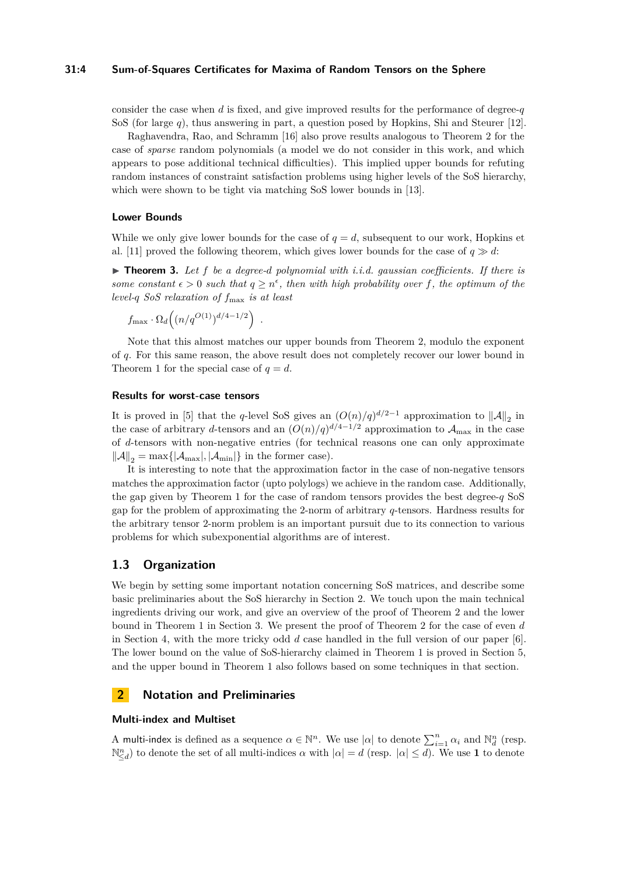# **31:4 Sum-of-Squares Certificates for Maxima of Random Tensors on the Sphere**

consider the case when *d* is fixed, and give improved results for the performance of degree-*q* SoS (for large *q*), thus answering in part, a question posed by Hopkins, Shi and Steurer [\[12\]](#page-16-6).

Raghavendra, Rao, and Schramm [\[16\]](#page-16-2) also prove results analogous to Theorem [2](#page-2-0) for the case of *sparse* random polynomials (a model we do not consider in this work, and which appears to pose additional technical difficulties). This implied upper bounds for refuting random instances of constraint satisfaction problems using higher levels of the SoS hierarchy, which were shown to be tight via matching SoS lower bounds in [\[13\]](#page-16-9).

#### **Lower Bounds**

While we only give lower bounds for the case of  $q = d$ , subsequent to our work, Hopkins et al. [\[11\]](#page-16-10) proved the following theorem, which gives lower bounds for the case of  $q \gg d$ :

 $\triangleright$  **Theorem 3.** Let f be a degree-d polynomial with i.i.d. gaussian coefficients. If there is some constant  $\epsilon > 0$  such that  $q \geq n^{\epsilon}$ , then with high probability over f, the optimum of the *level-q SoS relaxation of f*max *is at least*

$$
f_{\max} \cdot \Omega_d\Big((n/q^{O(1)})^{d/4-1/2}\Big) \ .
$$

Note that this almost matches our upper bounds from Theorem [2,](#page-2-0) modulo the exponent of *q*. For this same reason, the above result does not completely recover our lower bound in Theorem [1](#page-2-1) for the special case of  $q = d$ .

#### **Results for worst-case tensors**

It is proved in [\[5\]](#page-16-11) that the *q*-level SoS gives an  $(O(n)/q)^{d/2-1}$  approximation to  $||A||_2$  in the case of arbitrary *d*-tensors and an  $(O(n)/q)^{d/4-1/2}$  approximation to  $\mathcal{A}_{\text{max}}$  in the case of *d*-tensors with non-negative entries (for technical reasons one can only approximate  $\|\mathcal{A}\|_2 = \max\{|\mathcal{A}_{\text{max}}|, |\mathcal{A}_{\text{min}}|\}$  in the former case).

It is interesting to note that the approximation factor in the case of non-negative tensors matches the approximation factor (upto polylogs) we achieve in the random case. Additionally, the gap given by Theorem [1](#page-2-1) for the case of random tensors provides the best degree-*q* SoS gap for the problem of approximating the 2-norm of arbitrary *q*-tensors. Hardness results for the arbitrary tensor 2-norm problem is an important pursuit due to its connection to various problems for which subexponential algorithms are of interest.

# **1.3 Organization**

We begin by setting some important notation concerning SoS matrices, and describe some basic preliminaries about the SoS hierarchy in Section [2.](#page-3-0) We touch upon the main technical ingredients driving our work, and give an overview of the proof of Theorem [2](#page-2-0) and the lower bound in Theorem [1](#page-2-1) in Section [3.](#page-6-0) We present the proof of Theorem [2](#page-2-0) for the case of even *d* in Section [4,](#page-9-0) with the more tricky odd *d* case handled in the full version of our paper [\[6\]](#page-16-12). The lower bound on the value of SoS-hierarchy claimed in Theorem [1](#page-2-1) is proved in Section [5,](#page-12-0) and the upper bound in Theorem [1](#page-2-1) also follows based on some techniques in that section.

# <span id="page-3-0"></span>**2 Notation and Preliminaries**

#### **Multi-index and Multiset**

A multi-index is defined as a sequence  $\alpha \in \mathbb{N}^n$ . We use  $|\alpha|$  to denote  $\sum_{i=1}^n \alpha_i$  and  $\mathbb{N}_d^n$  (resp.  $\mathbb{N}_{\leq d}^n$  to denote the set of all multi-indices  $\alpha$  with  $|\alpha| = d$  (resp.  $|\alpha| \leq d$ ). We use 1 to denote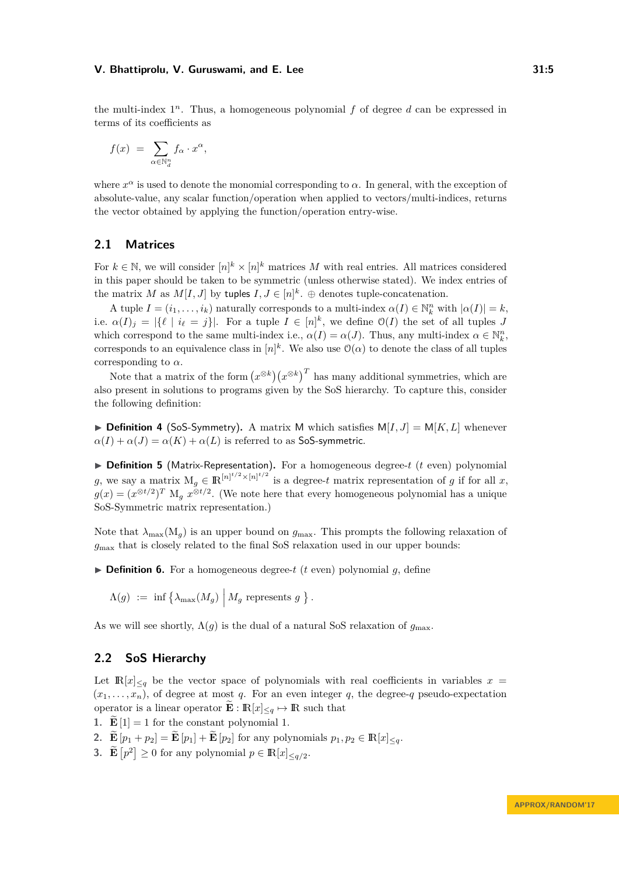the multi-index  $1^n$ . Thus, a homogeneous polynomial  $f$  of degree  $d$  can be expressed in terms of its coefficients as

$$
f(x) = \sum_{\alpha \in \mathbb{N}_d^n} f_\alpha \cdot x^\alpha,
$$

where  $x^{\alpha}$  is used to denote the monomial corresponding to  $\alpha$ . In general, with the exception of absolute-value, any scalar function/operation when applied to vectors/multi-indices, returns the vector obtained by applying the function/operation entry-wise.

# **2.1 Matrices**

For  $k \in \mathbb{N}$ , we will consider  $[n]^k \times [n]^k$  matrices *M* with real entries. All matrices considered in this paper should be taken to be symmetric (unless otherwise stated). We index entries of the matrix *M* as  $M[I, J]$  by tuples  $I, J \in [n]^k$ .  $\oplus$  denotes tuple-concatenation.

A tuple  $I = (i_1, \ldots, i_k)$  naturally corresponds to a multi-index  $\alpha(I) \in \mathbb{N}_k^n$  with  $|\alpha(I)| = k$ , i.e.  $\alpha(I)_j = |\{\ell \mid i_\ell = j\}|$ . For a tuple  $I \in [n]^k$ , we define  $\mathcal{O}(I)$  the set of all tuples *J* which correspond to the same multi-index i.e.,  $\alpha(I) = \alpha(J)$ . Thus, any multi-index  $\alpha \in \mathbb{N}_k^n$ , corresponds to an equivalence class in  $[n]^k$ . We also use  $\mathcal{O}(\alpha)$  to denote the class of all tuples corresponding to *α*.

Note that a matrix of the form  $(x^{\otimes k})(x^{\otimes k})^T$  has many additional symmetries, which are also present in solutions to programs given by the SoS hierarchy. To capture this, consider the following definition:

 $\triangleright$  **Definition 4** (SoS-Symmetry). A matrix M which satisfies  $M[I, J] = M[K, L]$  whenever  $\alpha(I) + \alpha(J) = \alpha(K) + \alpha(L)$  is referred to as SoS-symmetric.

▶ Definition 5 (Matrix-Representation). For a homogeneous degree-*t* (*t* even) polynomial *g*, we say a matrix  $M_g \in \mathbb{R}^{\lfloor n \rfloor^{t/2} \times \lfloor n \rfloor^{t/2}}$  is a degree-*t* matrix representation of *g* if for all *x*,  $g(x) = (x^{\otimes t/2})^T M_g x^{\otimes t/2}$ . (We note here that every homogeneous polynomial has a unique SoS-Symmetric matrix representation.)

Note that  $\lambda_{\text{max}}(M_q)$  is an upper bound on  $g_{\text{max}}$ . This prompts the following relaxation of *g*max that is closely related to the final SoS relaxation used in our upper bounds:

 $\triangleright$  **Definition 6.** For a homogeneous degree-*t* (*t* even) polynomial *q*, define

 $\Lambda(g) := \inf \left\{ \lambda_{\max}(M_g) \middle| M_g \text{ represents } g \right\}.$ 

As we will see shortly,  $\Lambda(g)$  is the dual of a natural SoS relaxation of  $g_{\text{max}}$ .

# <span id="page-4-0"></span>**2.2 SoS Hierarchy**

Let  $\mathbb{R}[x]_{\leq q}$  be the vector space of polynomials with real coefficients in variables  $x =$  $(x_1, \ldots, x_n)$ , of degree at most *q*. For an even integer *q*, the degree-*q* pseudo-expectation operator is a linear operator  $\mathbf{E}: \mathbb{R}[x]_{\leq q} \mapsto \mathbb{R}$  such that

- **1.**  $\widetilde{\mathbf{E}}[1] = 1$  for the constant polynomial 1.
- 2.  $\mathbf{\widetilde{E}}[p_1 + p_2] = \mathbf{\widetilde{E}}[p_1] + \mathbf{\widetilde{E}}[p_2]$  for any polynomials  $p_1, p_2 \in \mathbb{R}[x]_{\leq q}$ .
- **3.**  $\mathbf{\tilde{E}}[p^2] \ge 0$  for any polynomial  $p \in \mathbb{R}[x]_{\le q/2}$ .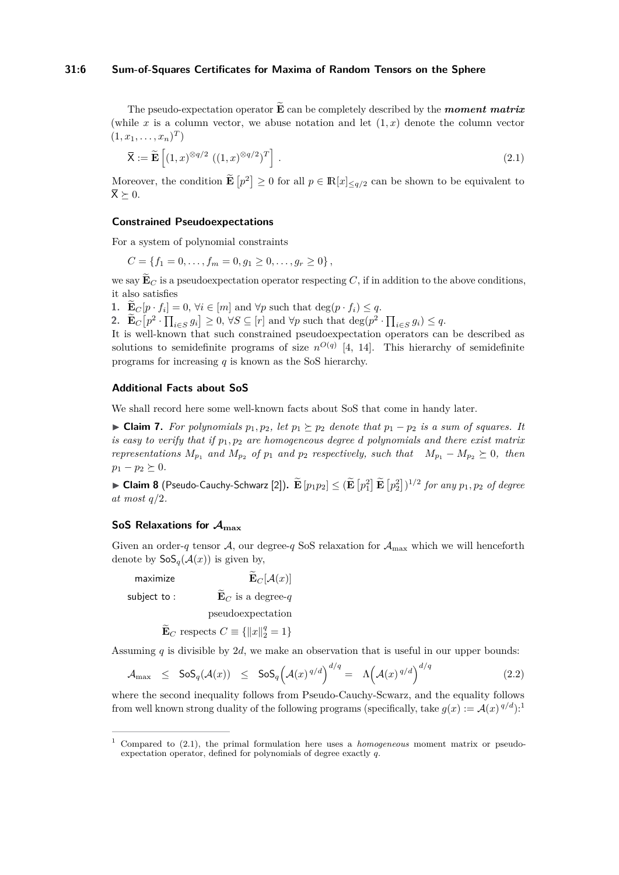# **31:6 Sum-of-Squares Certificates for Maxima of Random Tensors on the Sphere**

The pseudo-expectation operator  $\mathbf{\tilde{E}}$  can be completely described by the *moment matrix* (while x is a column vector, we abuse notation and let  $(1, x)$  denote the column vector  $(1, x_1, \ldots, x_n)^T$ 

<span id="page-5-1"></span>
$$
\overline{\mathbf{X}} := \widetilde{\mathbf{E}} \left[ (1, x)^{\otimes q/2} \ ((1, x)^{\otimes q/2})^T \right]. \tag{2.1}
$$

Moreover, the condition  $\mathbf{E}[p^2] \ge 0$  for all  $p \in \mathbb{R}[x]_{\le q/2}$  can be shown to be equivalent to  $\overline{X} \succ 0$ .

# **Constrained Pseudoexpectations**

For a system of polynomial constraints

 $C = \{f_1 = 0, \ldots, f_m = 0, g_1 \geq 0, \ldots, g_r \geq 0\},\$ 

we say  $\widetilde{\mathbf{E}}_C$  is a pseudoexpectation operator respecting C, if in addition to the above conditions, it also satisfies

1. **E**<sub>C</sub> $[p \cdot f_i] = 0$ ,  $\forall i \in [m]$  and  $\forall p$  such that deg $(p \cdot f_i) \leq q$ .

2.  $\mathbf{E}_C[p^2 \cdot \prod_{i \in S} g_i] \geq 0, \forall S \subseteq [r] \text{ and } \forall p \text{ such that } \deg(p^2 \cdot \prod_{i \in S} g_i) \leq q.$ 

It is well-known that such constrained pseudoexpectation operators can be described as solutions to semidefinite programs of size  $n^{O(q)}$  [\[4,](#page-16-13) [14\]](#page-16-14). This hierarchy of semidefinite programs for increasing *q* is known as the SoS hierarchy.

## **Additional Facts about SoS**

We shall record here some well-known facts about SoS that come in handy later.

► **Claim 7.** *For polynomials*  $p_1, p_2$ *, let*  $p_1 \succeq p_2$  *denote that*  $p_1 - p_2$  *is a sum of squares. It is easy to verify that if p*1*, p*<sup>2</sup> *are homogeneous degree d polynomials and there exist matrix representations*  $M_{p_1}$  *and*  $M_{p_2}$  *of*  $p_1$  *and*  $p_2$  *respectively, such that*  $M_{p_1} - M_{p_2} \succeq 0$ *, then*  $p_1 - p_2 \succeq 0.$ 

 $\bullet$  **Claim 8** (Pseudo-Cauchy-Schwarz [\[2\]](#page-15-1)).  $\widetilde{\mathbf{E}} [p_1 p_2] \leq (\widetilde{\mathbf{E}} [p_1^2] \widetilde{\mathbf{E}} [p_2^2])^{1/2}$  for any  $p_1, p_2$  of degree *at most q/*2*.*

# **SoS Relaxations for Amax**

Given an order-*q* tensor A, our degree-*q* SoS relaxation for  $A_{\text{max}}$  which we will henceforth denote by  $\mathsf{SoS}_{q}(\mathcal{A}(x))$  is given by,

maximize  $\widetilde{\mathbf{E}}_C[\mathcal{A}(x)]$ subject to :  $\widetilde{\mathbf{E}}_C$  is a degree-*q* 

<span id="page-5-2"></span>pseudoexpectation

$$
\widetilde{\mathbf{E}}_C \text{ respects } C \equiv \{ ||x||_2^q = 1 \}
$$

Assuming *q* is divisible by 2*d*, we make an observation that is useful in our upper bounds:

$$
\mathcal{A}_{\max} \leq \text{SoS}_q(\mathcal{A}(x)) \leq \text{SoS}_q\Big(\mathcal{A}(x)^{q/d}\Big)^{d/q} = \Lambda\Big(\mathcal{A}(x)^{q/d}\Big)^{d/q} \tag{2.2}
$$

where the second inequality follows from Pseudo-Cauchy-Scwarz, and the equality follows from well known strong duality of the following programs (specifically, take  $g(x) := \mathcal{A}(x)^{q/d}$ ):<sup>[1](#page-5-0)</sup>

<span id="page-5-0"></span><sup>1</sup> Compared to [\(2.1\)](#page-5-1), the primal formulation here uses a *homogeneous* moment matrix or pseudoexpectation operator, defined for polynomials of degree exactly *q*.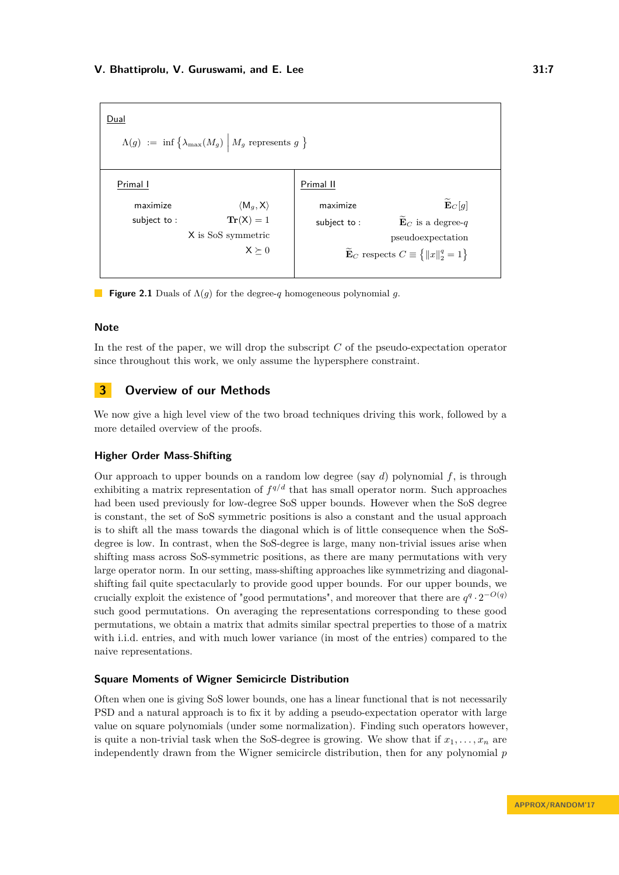

**Figure 2.1** Duals of Λ(*g*) for the degree-*q* homogeneous polynomial *g*.

# **Note**

In the rest of the paper, we will drop the subscript *C* of the pseudo-expectation operator since throughout this work, we only assume the hypersphere constraint.

# <span id="page-6-0"></span>**3 Overview of our Methods**

We now give a high level view of the two broad techniques driving this work, followed by a more detailed overview of the proofs.

# **Higher Order Mass-Shifting**

Our approach to upper bounds on a random low degree (say *d*) polynomial *f*, is through exhibiting a matrix representation of  $f^{q/d}$  that has small operator norm. Such approaches had been used previously for low-degree SoS upper bounds. However when the SoS degree is constant, the set of SoS symmetric positions is also a constant and the usual approach is to shift all the mass towards the diagonal which is of little consequence when the SoSdegree is low. In contrast, when the SoS-degree is large, many non-trivial issues arise when shifting mass across SoS-symmetric positions, as there are many permutations with very large operator norm. In our setting, mass-shifting approaches like symmetrizing and diagonalshifting fail quite spectacularly to provide good upper bounds. For our upper bounds, we crucially exploit the existence of "good permutations", and moreover that there are  $q^q \cdot 2^{-O(q)}$ such good permutations. On averaging the representations corresponding to these good permutations, we obtain a matrix that admits similar spectral preperties to those of a matrix with i.i.d. entries, and with much lower variance (in most of the entries) compared to the naive representations.

# **Square Moments of Wigner Semicircle Distribution**

Often when one is giving SoS lower bounds, one has a linear functional that is not necessarily PSD and a natural approach is to fix it by adding a pseudo-expectation operator with large value on square polynomials (under some normalization). Finding such operators however, is quite a non-trivial task when the SoS-degree is growing. We show that if  $x_1, \ldots, x_n$  are independently drawn from the Wigner semicircle distribution, then for any polynomial *p*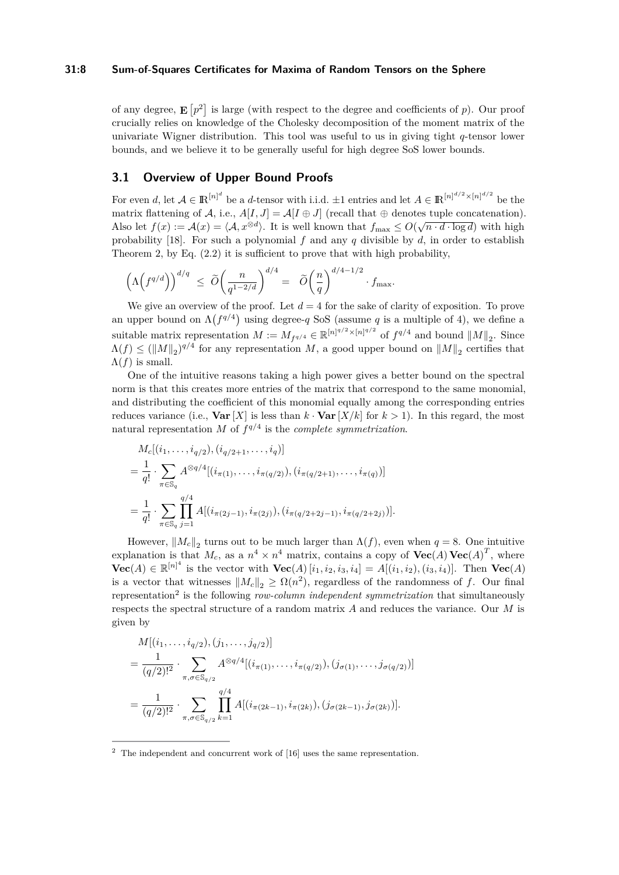## **31:8 Sum-of-Squares Certificates for Maxima of Random Tensors on the Sphere**

of any degree,  $\mathbf{E}\left[p^2\right]$  is large (with respect to the degree and coefficients of *p*). Our proof crucially relies on knowledge of the Cholesky decomposition of the moment matrix of the univariate Wigner distribution. This tool was useful to us in giving tight *q*-tensor lower bounds, and we believe it to be generally useful for high degree SoS lower bounds.

# <span id="page-7-1"></span>**3.1 Overview of Upper Bound Proofs**

For even *d*, let  $A \in \mathbb{R}^{[n]^d}$  be a *d*-tensor with i.i.d.  $\pm 1$  entries and let  $A \in \mathbb{R}^{[n]^{d/2} \times [n]^{d/2}}$  be the matrix flattening of A, i.e.,  $A[I, J] = A[I \oplus J]$  (recall that  $\oplus$  denotes tuple concatenation). Also let  $f(x) := A(x) = \langle A, x^{\otimes d} \rangle$ . It is well known that  $f_{\text{max}} \leq O(\sqrt{n \cdot d \cdot \log d})$  with high probability [\[18\]](#page-16-0). For such a polynomial *f* and any *q* divisible by *d*, in order to establish Theorem [2,](#page-2-0) by Eq. [\(2.2\)](#page-5-2) it is sufficient to prove that with high probability,

$$
\left(\Lambda\!\left(f^{q/d}\right)\right)^{d/q} \;\leq\; \widetilde{O}\!\left(\frac{n}{q^{1-2/d}}\right)^{d/4} = \; \; \widetilde{O}\!\left(\frac{n}{q}\right)^{d/4-1/2} \cdot f_{\text{\rm max}}.
$$

We give an overview of the proof. Let  $d = 4$  for the sake of clarity of exposition. To prove an upper bound on  $\Lambda(f^{q/4})$  using degree-*q* SoS (assume *q* is a multiple of 4), we define a suitable matrix representation  $M := M_{f^{q/4}} \in \mathbb{R}^{\lfloor n \rfloor^{q/2} \times \lfloor n \rfloor^{q/2}}$  of  $f^{q/4}$  and bound  $||M||_2$ . Since  $\Lambda(f) \leq (\|M\|_2)^{q/4}$  for any representation *M*, a good upper bound on  $\|M\|_2$  certifies that  $\Lambda(f)$  is small.

One of the intuitive reasons taking a high power gives a better bound on the spectral norm is that this creates more entries of the matrix that correspond to the same monomial, and distributing the coefficient of this monomial equally among the corresponding entries reduces variance (i.e., **Var**  $[X]$  is less than  $k \cdot \textbf{Var}[X/k]$  for  $k > 1$ ). In this regard, the most natural representation *M* of  $f^{q/4}$  is the *complete symmetrization*.

$$
M_c[(i_1,\ldots,i_{q/2}), (i_{q/2+1},\ldots,i_q)]
$$
  
=  $\frac{1}{q!} \cdot \sum_{\pi \in \mathbb{S}_q} A^{\otimes q/4}[(i_{\pi(1)},\ldots,i_{\pi(q/2)}), (i_{\pi(q/2+1)},\ldots,i_{\pi(q)})]$   
=  $\frac{1}{q!} \cdot \sum_{\pi \in \mathbb{S}_q} \prod_{j=1}^{q/4} A[(i_{\pi(2j-1)}, i_{\pi(2j)}), (i_{\pi(q/2+2j-1)}, i_{\pi(q/2+2j)})].$ 

However,  $||M_c||_2$  turns out to be much larger than  $\Lambda(f)$ , even when  $q = 8$ . One intuitive explanation is that  $M_c$ , as a  $n^4 \times n^4$  matrix, contains a copy of  $\textbf{Vec}(A) \textbf{Vec}(A)^T$ , where **Vec**(*A*) ∈  $\mathbb{R}^{\lfloor n \rfloor^4}$  is the vector with **Vec**(*A*)[*i*<sub>1</sub>*, i*<sub>2</sub>*, i*<sub>3</sub>*, i*<sub>4</sub>] = *A*[(*i*<sub>1</sub>*, i*<sub>2</sub>*),*(*i*<sub>3</sub>*, i*<sub>4</sub>]]. Then **Vec**(*A*) is a vector that witnesses  $||M_c||_2 \geq \Omega(n^2)$ , regardless of the randomness of *f*. Our final representation<sup>[2](#page-7-0)</sup> is the following *row-column independent symmetrization* that simultaneously respects the spectral structure of a random matrix *A* and reduces the variance. Our *M* is given by

$$
M[(i_1, \ldots, i_{q/2}), (j_1, \ldots, j_{q/2})]
$$
  
=  $\frac{1}{(q/2)!^2} \cdot \sum_{\pi, \sigma \in \mathbb{S}_{q/2}} A^{\otimes q/4}[(i_{\pi(1)}, \ldots, i_{\pi(q/2)}), (j_{\sigma(1)}, \ldots, j_{\sigma(q/2)})]$   
=  $\frac{1}{(q/2)!^2} \cdot \sum_{\pi, \sigma \in \mathbb{S}_{q/2}} \prod_{k=1}^{q/4} A[(i_{\pi(2k-1)}, i_{\pi(2k)}), (j_{\sigma(2k-1)}, j_{\sigma(2k)})].$ 

<span id="page-7-0"></span> $2$  The independent and concurrent work of [\[16\]](#page-16-2) uses the same representation.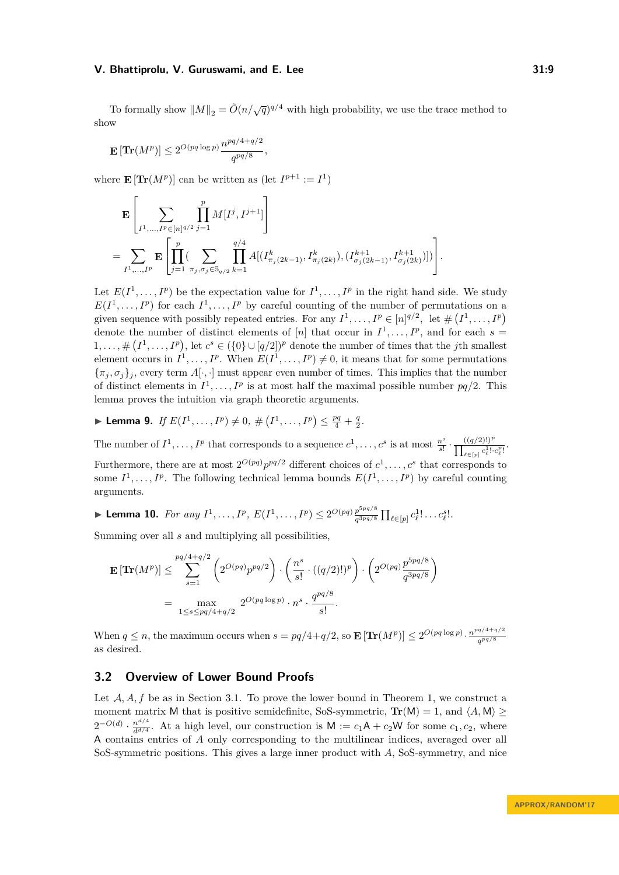To formally show  $||M||_2 = \tilde{O}(n/\sqrt{q})^{q/4}$  with high probability, we use the trace method to show

$$
\mathbf{E}\left[\mathbf{Tr}(M^p)\right] \leq 2^{O(pq\log p)}\frac{n^{pq/4+q/2}}{q^{pq/8}},
$$

where  $\mathbf{E}[\textbf{Tr}(M^p)]$  can be written as  $(\text{let } I^{p+1} := I^1)$ 

$$
\mathbf{E}\left[\sum_{I^1,\ldots,I^p\in[n]^{q/2}}\prod_{j=1}^p M[I^j,I^{j+1}]\right]
$$
\n
$$
=\sum_{I^1,\ldots,I^p}\mathbf{E}\left[\prod_{j=1}^p(\sum_{\pi_j,\sigma_j\in\mathbb{S}_{q/2}}\prod_{k=1}^{q/4}A[(I^k_{\pi_j(2k-1)},I^k_{\pi_j(2k)}),(I^{k+1}_{\sigma_j(2k-1)},I^{k+1}_{\sigma_j(2k)})])\right].
$$

Let  $E(I^1, \ldots, I^p)$  be the expectation value for  $I^1, \ldots, I^p$  in the right hand side. We study  $E(I^1, \ldots, I^p)$  for each  $I^1, \ldots, I^p$  by careful counting of the number of permutations on a given sequence with possibly repeated entries. For any  $I^1, \ldots, I^p \in [n]^{q/2}$ , let  $\# (I^1, \ldots, I^p)$ denote the number of distinct elements of  $[n]$  that occur in  $I^1, \ldots, I^p$ , and for each  $s =$  $1,\ldots,\#(I^1,\ldots,I^p)$ , let  $c^s \in (\{0\} \cup [q/2])^p$  denote the number of times that the *j*th smallest element occurs in  $I^1, \ldots, I^p$ . When  $E(I^1, \ldots, I^p) \neq 0$ , it means that for some permutations  $\{\pi_i, \sigma_i\}_i$ , every term  $A[\cdot, \cdot]$  must appear even number of times. This implies that the number of distinct elements in  $I^1, \ldots, I^p$  is at most half the maximal possible number  $pq/2$ . This lemma proves the intuition via graph theoretic arguments.

▶ Lemma 9. *If*  $E(I^1, ..., I^p) \neq 0$ ,  $\#(I^1, ..., I^p) \leq \frac{pq}{4} + \frac{q}{2}$ .

The number of  $I^1, \ldots, I^p$  that corresponds to a sequence  $c^1, \ldots, c^s$  is at most  $\frac{n^s}{s!}$  $\frac{n^s}{s!} \cdot \frac{((q/2)!)^p}{\prod_{c=1}^1(s)}$  $\frac{(q/2)!}{\prod_{\ell \in [p]} c_{\ell}^{1}! \cdot c_{\ell}^{p}!}.$ Furthermore, there are at most  $2^{O(pq)} p^{pq/2}$  different choices of  $c^1, \ldots, c^s$  that corresponds to some  $I^1, \ldots, I^p$ . The following technical lemma bounds  $E(I^1, \ldots, I^p)$  by careful counting arguments.

▶ **Lemma 10.** *For any*  $I^1, \ldots, I^p, E(I^1, \ldots, I^p) \leq 2^{O(pq)} \frac{p^{5pq/8}}{n^{3pq/8}}$  $\frac{p^{3pq/8}}{q^{3pq/8}} \prod_{\ell \in [p]} c_{\ell}^{1}! \ldots c_{\ell}^{s}!$ 

Summing over all *s* and multiplying all possibilities,

$$
\mathbf{E} \left[ \mathbf{Tr}(M^p) \right] \leq \sum_{s=1}^{pq/4+q/2} \left( 2^{O(pq)} p^{pq/2} \right) \cdot \left( \frac{n^s}{s!} \cdot ((q/2)!)^p \right) \cdot \left( 2^{O(pq)} \frac{p^{5pq/8}}{q^{3pq/8}} \right)
$$
  
= 
$$
\max_{1 \leq s \leq pq/4+q/2} 2^{O(pq \log p)} \cdot n^s \cdot \frac{q^{pq/8}}{s!}.
$$

When  $q \leq n$ , the maximum occurs when  $s = pq/4 + q/2$ , so  $\mathbf{E} [\text{Tr}(M^p)] \leq 2^{O(pq \log p)} \cdot \frac{n^{pq/4+q/2}}{qpq/8}$ *q pq/*8 as desired.

# **3.2 Overview of Lower Bound Proofs**

Let A, A, f be as in Section [3.1.](#page-7-1) To prove the lower bound in Theorem [1,](#page-2-1) we construct a moment matrix M that is positive semidefinite, SoS-symmetric,  $\text{Tr}(M) = 1$ , and  $\langle A, M \rangle \ge$  $2^{-O(d)} \cdot \frac{n^{d/4}}{d^{d/4}}$  $\frac{d^{n}}{d^{d/4}}$ . At a high level, our construction is  $M := c_1 A + c_2 W$  for some  $c_1, c_2$ , where A contains entries of *A* only corresponding to the multilinear indices, averaged over all SoS-symmetric positions. This gives a large inner product with *A*, SoS-symmetry, and nice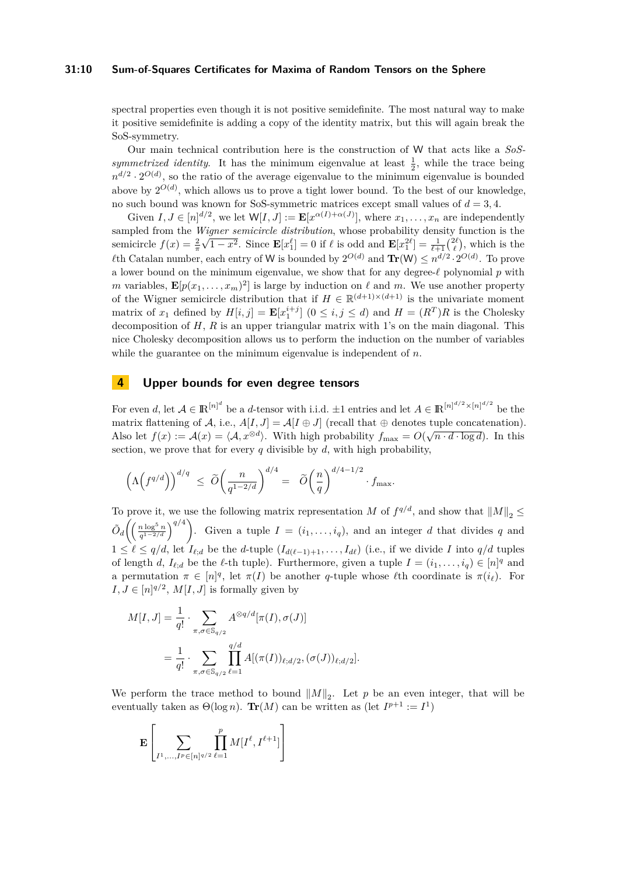### **31:10 Sum-of-Squares Certificates for Maxima of Random Tensors on the Sphere**

spectral properties even though it is not positive semidefinite. The most natural way to make it positive semidefinite is adding a copy of the identity matrix, but this will again break the SoS-symmetry.

Our main technical contribution here is the construction of W that acts like a *SoS*symmetrized identity. It has the minimum eigenvalue at least  $\frac{1}{2}$ , while the trace being  $n^{d/2} \cdot 2^{O(d)}$ , so the ratio of the average eigenvalue to the minimum eigenvalue is bounded above by  $2^{O(d)}$ , which allows us to prove a tight lower bound. To the best of our knowledge, no such bound was known for SoS-symmetric matrices except small values of  $d = 3, 4$ .

Given  $I, J \in [n]^{d/2}$ , we let  $W[I, J] := \mathbf{E}[x^{\alpha(I) + \alpha(J)}]$ , where  $x_1, \ldots, x_n$  are independently sampled from the *Wigner semicircle distribution*, whose probability density function is the semicircle  $f(x) = \frac{2}{\pi}\sqrt{1-x^2}$ . Since  $\mathbf{E}[x_1^{\ell}] = 0$  if  $\ell$  is odd and  $\mathbf{E}[x_1^{2\ell}] = \frac{1}{\ell+1} {2\ell \choose \ell}$ , which is the  $\ell$ th Catalan number, each entry of W is bounded by  $2^{O(d)}$  and  $\text{Tr}(W) \leq n^{d/2} \cdot 2^{O(d)}$ . To prove a lower bound on the minimum eigenvalue, we show that for any degree- $\ell$  polynomial  $p$  with *m* variables,  $\mathbf{E}[p(x_1, \ldots, x_m)^2]$  is large by induction on  $\ell$  and *m*. We use another property of the Wigner semicircle distribution that if  $H \in \mathbb{R}^{(d+1)\times(d+1)}$  is the univariate moment matrix of  $x_1$  defined by  $H[i, j] = \mathbf{E}[x_1^{i+j}]$   $(0 \le i, j \le d)$  and  $H = (R^T)R$  is the Cholesky decomposition of *H*, *R* is an upper triangular matrix with 1's on the main diagonal. This nice Cholesky decomposition allows us to perform the induction on the number of variables while the guarantee on the minimum eigenvalue is independent of *n*.

# <span id="page-9-0"></span>**4 Upper bounds for even degree tensors**

For even *d*, let  $A \in \mathbb{R}^{[n]^d}$  be a *d*-tensor with i.i.d.  $\pm 1$  entries and let  $A \in \mathbb{R}^{[n]^{d/2} \times [n]^{d/2}}$  be the matrix flattening of A, i.e.,  $A[I, J] = A[I \oplus J]$  (recall that  $\oplus$  denotes tuple concatenation). Also let  $f(x) := \mathcal{A}(x) = \langle \mathcal{A}, x^{\otimes d} \rangle$ . With high probability  $f_{\text{max}} = O(\sqrt{n \cdot d \cdot \log d})$ . In this section, we prove that for every  $q$  divisible by  $d$ , with high probability,

$$
\left(\Lambda\Big(f^{q/d}\Big)\right)^{d/q} \ \le \ \widetilde O\bigg(\frac{n}{q^{1-2/d}}\bigg)^{d/4} = \ \ \widetilde O\bigg(\frac{n}{q}\bigg)^{d/4-1/2} \cdot f_{\max}.
$$

To prove it, we use the following matrix representation *M* of  $f^{q/d}$ , and show that  $||M||_2 \le$  $\tilde{O}_d \bigg( \left( \frac{n \log^5 n}{a^{1-2/d}} \right)$  $\left(\frac{n \log^5 n}{q^{1-2/d}}\right)^{q/4}$ . Given a tuple  $I = (i_1, \ldots, i_q)$ , and an integer *d* that divides *q* and  $1 \leq \ell \leq q/d$ , let  $I_{\ell;d}$  be the *d*-tuple  $(I_{d(\ell-1)+1}, \ldots, I_{d\ell})$  (i.e., if we divide *I* into  $q/d$  tuples of length *d*,  $I_{\ell;d}$  be the  $\ell$ -th tuple). Furthermore, given a tuple  $I = (i_1, \ldots, i_q) \in [n]^q$  and a permutation  $\pi \in [n]^q$ , let  $\pi(I)$  be another *q*-tuple whose  $\ell$ th coordinate is  $\pi(i_\ell)$ . For  $I, J \in [n]^{q/2}, M[I, J]$  is formally given by

$$
M[I, J] = \frac{1}{q!} \cdot \sum_{\pi, \sigma \in \mathbb{S}_{q/2}} A^{\otimes q/d} [\pi(I), \sigma(J)]
$$
  
= 
$$
\frac{1}{q!} \cdot \sum_{\pi, \sigma \in \mathbb{S}_{q/2}} \prod_{\ell=1}^{q/d} A[(\pi(I))_{\ell; d/2}, (\sigma(J))_{\ell; d/2}].
$$

We perform the trace method to bound  $||M||_2$ . Let *p* be an even integer, that will be eventually taken as  $\Theta(\log n)$ . **Tr**(*M*) can be written as (let  $I^{p+1} := I^1$ )

$$
\mathbf{E}\left[\sum_{I^1,\ldots,I^p\in[n]^{q/2}}\prod_{\ell=1}^p M[I^{\ell},I^{\ell+1}]\right]
$$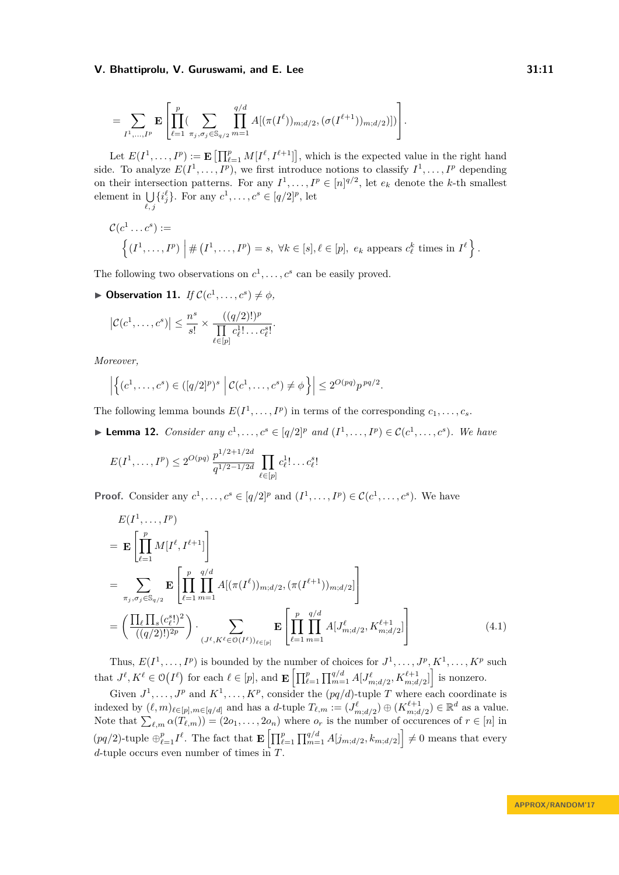$$
= \sum_{I^1,\ldots,I^p} \mathbf{E} \left[ \prod_{\ell=1}^p (\sum_{\pi_j,\sigma_j \in \mathbb{S}_{q/2}} \prod_{m=1}^{q/d} A[(\pi(I^{\ell}))_{m;d/2},(\sigma(I^{\ell+1}))_{m;d/2})]) \right].
$$

Let  $E(I^1, \ldots, I^p) := \mathbf{E}\left[\prod_{\ell=1}^p M[I^{\ell}, I^{\ell+1}]\right]$ , which is the expected value in the right hand side. To analyze  $E(I^1, \ldots, I^p)$ , we first introduce notions to classify  $I^1, \ldots, I^p$  depending on their intersection patterns. For any  $I^1, \ldots, I^p \in [n]^{q/2}$ , let  $e_k$  denote the *k*-th smallest element in  $\bigcup \{i_j^{\ell}\}\$ . For any  $c^1, \ldots, c^s \in [q/2]^p$ , let  $\ell, j$ 

$$
\mathcal{C}(c^1 \dots c^s) := \left\{ (I^1, \dots, I^p) \middle| \# (I^1, \dots, I^p) = s, \ \forall k \in [s], \ell \in [p], \ e_k \text{ appears } c_{\ell}^k \text{ times in } I^{\ell} \right\}.
$$

The following two observations on  $c^1, \ldots, c^s$  can be easily proved.

<span id="page-10-2"></span> $\triangleright$  **Observation 11.** *If*  $C(c^1, \ldots, c^s) \neq \emptyset$ ,

$$
\left|\mathcal{C}(c^1,\ldots,c^s)\right| \leq \frac{n^s}{s!} \times \frac{((q/2)!)^p}{\prod\limits_{\ell \in [p]} c_{\ell}^1! \ldots c_{\ell}^s!}.
$$

*Moreover,*

<span id="page-10-0"></span> $11.14$ 

$$
\left| \left\{ (c^1, \ldots, c^s) \in ([q/2]^p)^s \; \left| \; \mathcal{C}(c^1, \ldots, c^s) \neq \phi \right\} \right| \leq 2^{O(pq)} p^{pq/2}.
$$

The following lemma bounds  $E(I^1, \ldots, I^p)$  in terms of the corresponding  $c_1, \ldots, c_s$ .

<span id="page-10-1"></span>▶ **Lemma 12.** *Consider any*  $c^1, ..., c^s \in [q/2]^p$  *and*  $(I^1, ..., I^p) \in C(c^1, ..., c^s)$ *. We have* 

$$
E(I^1, ..., I^p) \le 2^{O(pq)} \frac{p^{1/2+1/2d}}{q^{1/2-1/2d}} \prod_{\ell \in [p]} c_{\ell}^1! \dots c_{\ell}^s!
$$

**Proof.** Consider any  $c^1, \ldots, c^s \in [q/2]^p$  and  $(I^1, \ldots, I^p) \in \mathcal{C}(c^1, \ldots, c^s)$ . We have

$$
E(I^{1},...,I^{p})
$$
\n
$$
= \mathbf{E} \left[ \prod_{\ell=1}^{p} M[I^{\ell}, I^{\ell+1}] \right]
$$
\n
$$
= \sum_{\pi_{j}, \sigma_{j} \in \mathbb{S}_{q/2}} \mathbf{E} \left[ \prod_{\ell=1}^{p} \prod_{m=1}^{q/d} A[(\pi(I^{\ell}))_{m;d/2}, (\pi(I^{\ell+1}))_{m;d/2}] \right]
$$
\n
$$
= \left( \frac{\prod_{\ell} \prod_{s} (c_{\ell}^{s}!)^{2}}{((q/2)!)^{2p}} \right) \cdot \sum_{(J^{\ell}, K^{\ell} \in \mathcal{O}(I^{\ell}))_{\ell \in [p]}} \mathbf{E} \left[ \prod_{\ell=1}^{p} \prod_{m=1}^{q/d} A[J_{m;d/2}^{\ell}, K_{m;d/2}^{\ell+1}] \right]
$$
\n(4.1)

Thus,  $E(I^1, \ldots, I^p)$  is bounded by the number of choices for  $J^1, \ldots, J^p, K^1, \ldots, K^p$  such that  $J^{\ell}, K^{\ell} \in \mathcal{O}(I^{\ell})$  for each  $\ell \in [p]$ , and  $\mathbf{E}\left[\prod_{\ell=1}^{p} \prod_{m=1}^{q/d} A[J^{\ell}_{m;d/2}, K^{\ell+1}_{m;d/2}]\right]$  is nonzero.

Given  $J^1, \ldots, J^p$  and  $K^1, \ldots, K^p$ , consider the  $(pq/d)$ -tuple *T* where each coordinate is indexed by  $(\ell, m)_{\ell \in [p], m \in [q/d]}$  and has a *d*-tuple  $T_{\ell,m} := (J_{m;d/2}^{\ell}) \oplus (K_{m;d/2}^{\ell+1}) \in \mathbb{R}^d$  as a value. Note that  $\sum_{\ell,m} \alpha(T_{\ell,m}) = (2o_1, \ldots, 2o_n)$  where  $o_r$  is the number of occurences of  $r \in [n]$  in  $(pq/2)$ -tuple  $\bigoplus_{\ell=1}^p I^{\ell}$ . The fact that  $\mathbf{E}\left[\prod_{\ell=1}^p\prod_{m=1}^{q/d}A[j_{m;d/2},k_{m;d/2}]\right]\neq 0$  means that every *d*-tuple occurs even number of times in *T*.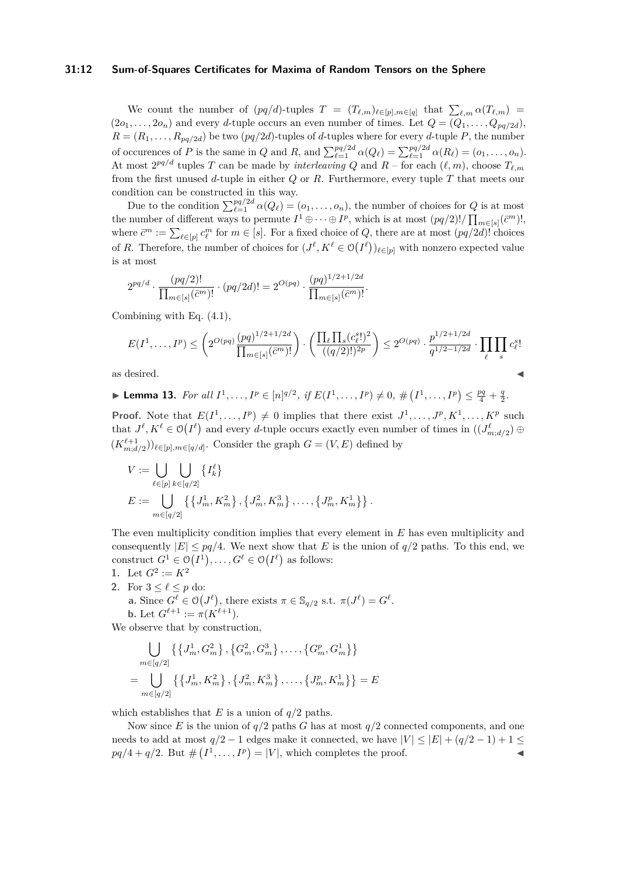## **31:12 Sum-of-Squares Certificates for Maxima of Random Tensors on the Sphere**

We count the number of  $(pq/d)$ -tuples  $T = (T_{\ell,m})_{\ell \in [p], m \in [q]}$  that  $\sum_{\ell,m} \alpha(T_{\ell,m}) =$  $(2o_1, \ldots, 2o_n)$  and every *d*-tuple occurs an even number of times. Let  $Q = (Q_1, \ldots, Q_{pq/2d})$ ,  $R = (R_1, \ldots, R_{pq/2d})$  be two  $(pq/2d)$ -tuples of *d*-tuples where for every *d*-tuple *P*, the number of occurences of P is the same in Q and R, and  $\sum_{\ell=1}^{pq/2d} \alpha(Q_{\ell}) = \sum_{\ell=1}^{pq/2d} \alpha(R_{\ell}) = (o_1, \ldots, o_n)$ . At most  $2^{pq/d}$  tuples *T* can be made by *interleaving Q* and *R* – for each  $(\ell, m)$ , choose  $T_{\ell,m}$ from the first unused *d*-tuple in either *Q* or *R*. Furthermore, every tuple *T* that meets our condition can be constructed in this way.

Due to the condition  $\sum_{\ell=1}^{pq/2d} \alpha(Q_{\ell}) = (o_1, \ldots, o_n)$ , the number of choices for *Q* is at most the number of different ways to permute  $I^1 \oplus \cdots \oplus I^p$ , which is at most  $(pq/2)! / \prod_{m \in [s]} (\bar{c}^m)!$ , where  $\bar{c}^m := \sum_{\ell \in [p]} c_{\ell}^m$  for  $m \in [s]$ . For a fixed choice of *Q*, there are at most  $(pq/2d)!$  choices of *R*. Therefore, the number of choices for  $(J^{\ell}, K^{\ell} \in \mathcal{O}(I^{\ell}))_{\ell \in [p]}$  with nonzero expected value is at most

$$
2^{pq/d} \cdot \frac{(pq/2)!}{\prod_{m \in [s]} (\bar{c}^m)!} \cdot (pq/2d)! = 2^{O(pq)} \cdot \frac{(pq)^{1/2+1/2d}}{\prod_{m \in [s]} (\bar{c}^m)!}.
$$

Combining with Eq. [\(4.1\)](#page-10-0),

$$
E(I^1, \dots, I^p) \le \left( 2^{O(pq)} \frac{(pq)^{1/2 + 1/2d}}{\prod_{m \in [s]} (\bar{c}^m)!} \right) \cdot \left( \frac{\prod_{\ell} \prod_s (c^s_{\ell}^1)^2}{((q/2)!)^{2p}} \right) \le 2^{O(pq)} \cdot \frac{p^{1/2 + 1/2d}}{q^{1/2 - 1/2d}} \cdot \prod_{\ell} \prod_s c^s_{\ell}!
$$
 as desired.

<span id="page-11-0"></span>► Lemma 13. For all  $I^1, ..., I^p \in [n]^{q/2}$ , if  $E(I^1, ..., I^p) \neq 0$ ,  $\#(I^1, ..., I^p) \leq \frac{pq}{4} + \frac{q}{2}$ .

**Proof.** Note that  $E(I^1, \ldots, I^p) \neq 0$  implies that there exist  $J^1, \ldots, J^p, K^1, \ldots, K^p$  such that  $J^{\ell}, K^{\ell} \in \mathcal{O}(I^{\ell})$  and every *d*-tuple occurs exactly even number of times in  $((J^{\ell}_{m,d/2}) \oplus$  $(K^{\ell+1}_{m;d/2})_{\ell \in [p], m \in [q/d]}$ . Consider the graph  $G = (V, E)$  defined by

$$
V := \bigcup_{\ell \in [p]}\bigcup_{k \in [q/2]} \{I_k^{\ell}\}
$$
  

$$
E := \bigcup_{m \in [q/2]} \{ \{J_m^1, K_m^2\}, \{J_m^2, K_m^3\}, \dots, \{J_m^p, K_m^1\} \}.
$$

The even multiplicity condition implies that every element in *E* has even multiplicity and consequently  $|E| \leq pq/4$ . We next show that *E* is the union of  $q/2$  paths. To this end, we construct  $G^1 \in \mathcal{O}(I^1), \ldots, G^{\ell} \in \mathcal{O}(I^{\ell})$  as follows:

1. Let 
$$
G^2 := K^2
$$

**2.** For  $3 \leq \ell \leq p$  do: **a.** Since  $G^{\ell} \in \mathcal{O}(J^{\ell})$ , there exists  $\pi \in \mathbb{S}_{q/2}$  s.t.  $\pi(J^{\ell}) = G^{\ell}$ .

**b.** Let 
$$
G^{\ell+1} := \pi(K^{\ell+1})
$$
.

We observe that by construction,

$$
\bigcup_{m \in [q/2]} \left\{ \left\{ J_m^1, G_m^2 \right\}, \left\{ G_m^2, G_m^3 \right\}, \dots, \left\{ G_m^p, G_m^1 \right\} \right\}
$$
  
= 
$$
\bigcup_{m \in [q/2]} \left\{ \left\{ J_m^1, K_m^2 \right\}, \left\{ J_m^2, K_m^3 \right\}, \dots, \left\{ J_m^p, K_m^1 \right\} \right\} = E
$$

which establishes that *E* is a union of  $q/2$  paths.

Now since *E* is the union of  $q/2$  paths *G* has at most  $q/2$  connected components, and one needs to add at most  $q/2 - 1$  edges make it connected, we have  $|V| \leq |E| + (q/2 - 1) + 1 \leq$  $pq/4 + q/2$ . But  $#(I^1, \ldots, I^p) = |V|$ , which completes the proof.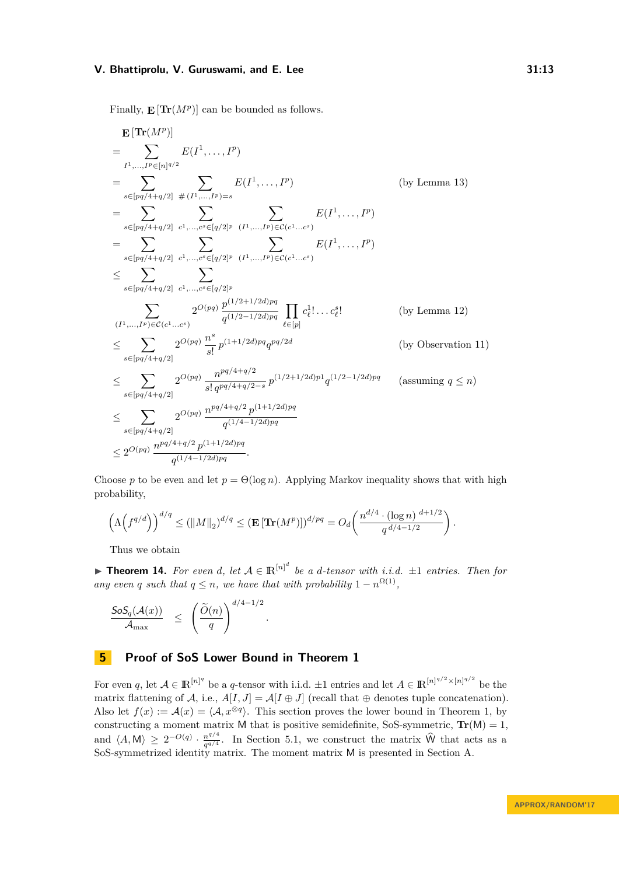Finally,  $\mathbf{E}[\textbf{Tr}(M^p)]$  can be bounded as follows.

$$
\mathbf{E}[\textbf{Tr}(M^{p})]
$$
\n
$$
= \sum_{I^{1},...,I^{p} \in [n]^{d/2}} E(I^{1},...,I^{p})
$$
\n
$$
= \sum_{s \in [pq/4+q/2]} E(I^{1},...,I^{p})
$$
\n
$$
= \sum_{s \in [pq/4+q/2]} \sum_{c^{1},...,c^{s} \in [q/2]^{p}} E(I^{1},...,I^{p})
$$
\n
$$
= \sum_{s \in [pq/4+q/2]} \sum_{c^{1},...,c^{s} \in [q/2]^{p}} \sum_{(I^{1},...,I^{p}) \in C(c^{1}...c^{s})} E(I^{1},...,I^{p})
$$
\n
$$
= \sum_{s \in [pq/4+q/2]} \sum_{c^{1},...,c^{s} \in [q/2]^{p}} \sum_{(I^{1},...,I^{p}) \in C(c^{1}...c^{s})} E(I^{1},...,I^{p})
$$
\n
$$
\leq \sum_{s \in [pq/4+q/2]} \sum_{c^{1},...,c^{s} \in [q/2]^{p}} 2^{O(pq)} \frac{p^{(1/2+1/2d)pq}}{q^{(1/2-1/2d)pq}} \prod_{\ell \in [p]} c_{\ell}^{1}...c_{\ell}^{s}.
$$
\n
$$
(by Lemma 12)
$$
\n
$$
\leq \sum_{s \in [pq/4+q/2]} 2^{O(pq)} \frac{n^{s}}{s!} p^{(1+1/2d)pq} q^{pq/2d}
$$
\n
$$
\leq \sum_{s \in [pq/4+q/2]} 2^{O(pq)} \frac{n^{pq/4+q/2}}{s! q^{pq/4+q/2-s}} p^{(1/2+1/2d)pq} q^{(1/2-1/2d)pq}
$$
\n
$$
\leq \sum_{s \in [pq/4+q/2]} 2^{O(pq)} \frac{n^{pq/4+q/2}}{q^{(1/4-1/2d)pq}}
$$
\n
$$
\leq 2^{O(pq)} \frac{n^{pq/4+q/2} p^{(1+1/2d)pq}}{q^{(1/4-1/2d)pq}}.
$$

Choose *p* to be even and let  $p = \Theta(\log n)$ . Applying Markov inequality shows that with high probability,

$$
\left(\Lambda\left(f^{q/d}\right)\right)^{d/q} \le (\|M\|_2)^{d/q} \le (\mathbf{E}\left[\mathbf{Tr}(M^p)\right])^{d/pq} = O_d\left(\frac{n^{d/4} \cdot (\log n)^{d+1/2}}{q^{d/4-1/2}}\right).
$$

*.*

Thus we obtain

▶ **Theorem 14.** For even *d*, let  $A \in \mathbb{R}^{[n]^d}$  be a *d*-tensor with *i.i.d.*  $\pm 1$  *entries. Then for any even q such that*  $q \leq n$ *, we have that with probability*  $1 - n^{\Omega(1)}$ *,* 

$$
\frac{\mathsf{SoS}_q(\mathcal{A}(x))}{\mathcal{A}_{\max}} \leq \left(\frac{\widetilde{O}(n)}{q}\right)^{d/4-1/2}
$$

# <span id="page-12-0"></span>**5 Proof of SoS Lower Bound in Theorem [1](#page-2-1)**

For even *q*, let  $A \in \mathbb{R}^{[n]^q}$  be a *q*-tensor with i.i.d.  $\pm 1$  entries and let  $A \in \mathbb{R}^{[n]^{q/2} \times [n]^{q/2}}$  be the matrix flattening of A, i.e.,  $A[I, J] = A[I \oplus J]$  (recall that  $\oplus$  denotes tuple concatenation). Also let  $f(x) := \mathcal{A}(x) = \langle \mathcal{A}, x^{\otimes q} \rangle$ . This section proves the lower bound in Theorem [1,](#page-2-1) by constructing a moment matrix M that is positive semidefinite, SoS-symmetric,  $\text{Tr}(M) = 1$ , and  $\langle A, M \rangle \geq 2^{-O(q)} \cdot \frac{n^{q/4}}{q^{q/4}}$  $q^{n/4}$ . In Section [5.1,](#page-13-0) we construct the matrix W that acts as a SoS-symmetrized identity matrix. The moment matrix M is presented in Section [A.](#page-16-15)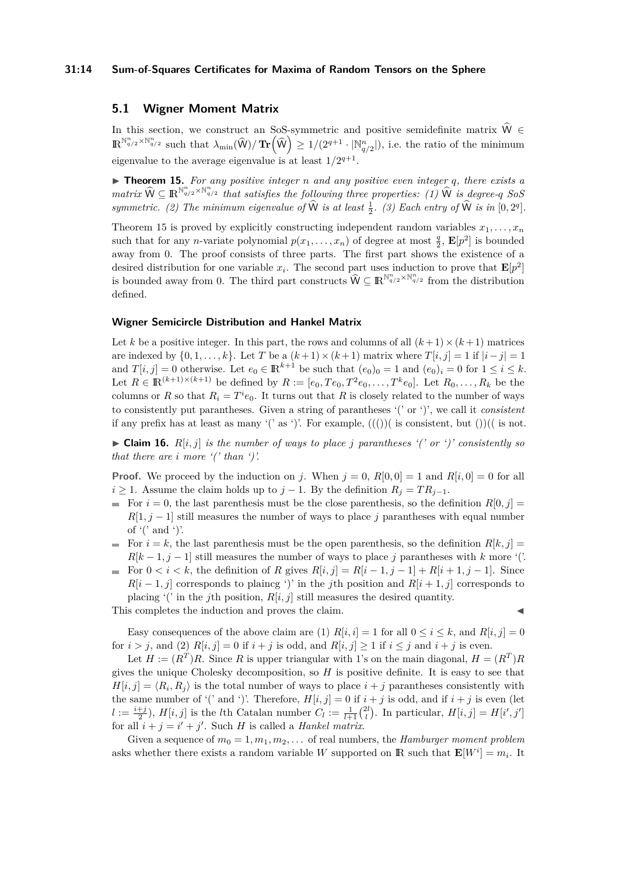## **31:14 Sum-of-Squares Certificates for Maxima of Random Tensors on the Sphere**

# <span id="page-13-0"></span>**5.1 Wigner Moment Matrix**

In this section, we construct an SoS-symmetric and positive semidefinite matrix  $\hat{W} \in$  $\mathbb{R}^{\mathbb{N}_{q/2}^n \times \mathbb{N}_{q/2}^n}$  such that  $\lambda_{\min}(\widehat{\mathsf{W}}) / \mathbf{Tr}(\widehat{\mathsf{W}}) \geq 1/(2^{q+1} \cdot |\mathbb{N}_{q/2}^n|),$  i.e. the ratio of the minimum eigenvalue to the average eigenvalue is at least  $1/2^{q+1}$ .

<span id="page-13-1"></span> $\triangleright$  **Theorem 15.** For any positive integer *n* and any positive even integer *q*, there exists a  $\hat{W} \subseteq \mathbb{R}^{\mathbb{N}_{q/2}^n \times \mathbb{N}_{q/2}^n}$  that satisfies the following three properties: (1)  $\hat{W}$  is degree-*q SoS symmetric.* (2) The minimum eigenvalue of  $\hat{W}$  *is at least*  $\frac{1}{2}$ *.* (3) Each entry of  $\hat{W}$  *is in* [0*,* 2<sup>*q*</sup>]*.* 

Theorem [15](#page-13-1) is proved by explicitly constructing independent random variables  $x_1, \ldots, x_n$ such that for any *n*-variate polynomial  $p(x_1, \ldots, x_n)$  of degree at most  $\frac{q}{2}$ ,  $\mathbf{E}[p^2]$  is bounded away from 0. The proof consists of three parts. The first part shows the existence of a desired distribution for one variable  $x_i$ . The second part uses induction to prove that  $\mathbf{E}[p^2]$ is bounded away from 0. The third part constructs  $\widehat{W} \subseteq \mathbb{R}^{\mathbb{N}_{q/2}^n \times \mathbb{N}_{q/2}^n}$  from the distribution defined.

## **Wigner Semicircle Distribution and Hankel Matrix**

Let *k* be a positive integer. In this part, the rows and columns of all  $(k+1) \times (k+1)$  matrices are indexed by  $\{0, 1, \ldots, k\}$ . Let *T* be a  $(k+1) \times (k+1)$  matrix where  $T[i, j] = 1$  if  $|i - j| = 1$ and  $T[i, j] = 0$  otherwise. Let  $e_0 \in \mathbb{R}^{k+1}$  be such that  $(e_0)_0 = 1$  and  $(e_0)_i = 0$  for  $1 \le i \le k$ . Let  $R \in \mathbb{R}^{(k+1)\times (k+1)}$  be defined by  $R := [e_0, Te_0, T^2e_0, \ldots, T^k e_0]$ . Let  $R_0, \ldots, R_k$  be the columns or *R* so that  $R_i = T^i e_0$ . It turns out that *R* is closely related to the number of ways to consistently put parantheses. Given a string of parantheses '(' or ')', we call it *consistent* if any prefix has at least as many '(' as ')'. For example,  $((())$  is consistent, but  $())$  (is not.

 $\blacktriangleright$  **Claim 16.**  $R[i, j]$  *is the number of ways to place j parantheses '(' or ')' consistently so that there are i more '(' than ')'.*

**Proof.** We proceed by the induction on *j*. When  $j = 0$ ,  $R[0, 0] = 1$  and  $R[i, 0] = 0$  for all *i* ≥ 1. Assume the claim holds up to *j* − 1. By the definition  $R_j = TR_{j-1}$ .

- For  $i = 0$ , the last parenthesis must be the close parenthesis, so the definition  $R[0, j] =$  $R[1, j - 1]$  still measures the number of ways to place *j* parantheses with equal number of  $'$  and ').
- For  $i = k$ , the last parenthesis must be the open parenthesis, so the definition  $R[k, j] =$  $R[k-1,j-1]$  still measures the number of ways to place *j* parantheses with *k* more '('.
- For  $0 < i < k$ , the definition of *R* gives  $R[i, j] = R[i-1, j-1] + R[i+1, j-1]$ . Since  $R[i-1,j]$  corresponds to plaincg ')' in the *j*th position and  $R[i+1,j]$  corresponds to placing '(' in the *j*th position,  $R[i, j]$  still measures the desired quantity.

This completes the induction and proves the claim.

Easy consequences of the above claim are (1)  $R[i, i] = 1$  for all  $0 \le i \le k$ , and  $R[i, j] = 0$ for  $i > j$ , and (2)  $R[i, j] = 0$  if  $i + j$  is odd, and  $R[i, j] \ge 1$  if  $i \le j$  and  $i + j$  is even.

Let  $H := (R^T)R$ . Since R is upper triangular with 1's on the main diagonal,  $H = (R^T)R$ gives the unique Cholesky decomposition, so *H* is positive definite. It is easy to see that  $H[i, j] = \langle R_i, R_j \rangle$  is the total number of ways to place  $i + j$  parantheses consistently with the same number of '(' and ')'. Therefore,  $H[i, j] = 0$  if  $i + j$  is odd, and if  $i + j$  is even (let  $l := \frac{i+j}{2}$ ,  $H[i, j]$  is the *l*th Catalan number  $C_l := \frac{1}{l+1} {2l \choose l}$ . In particular,  $H[i, j] = H[i', j']$ for all  $i + j = i' + j'$ . Such *H* is called a *Hankel matrix*.

Given a sequence of  $m_0 = 1, m_1, m_2, \ldots$  of real numbers, the *Hamburger moment problem* asks whether there exists a random variable *W* supported on **R** such that  $\mathbf{E}[W^i] = m_i$ . It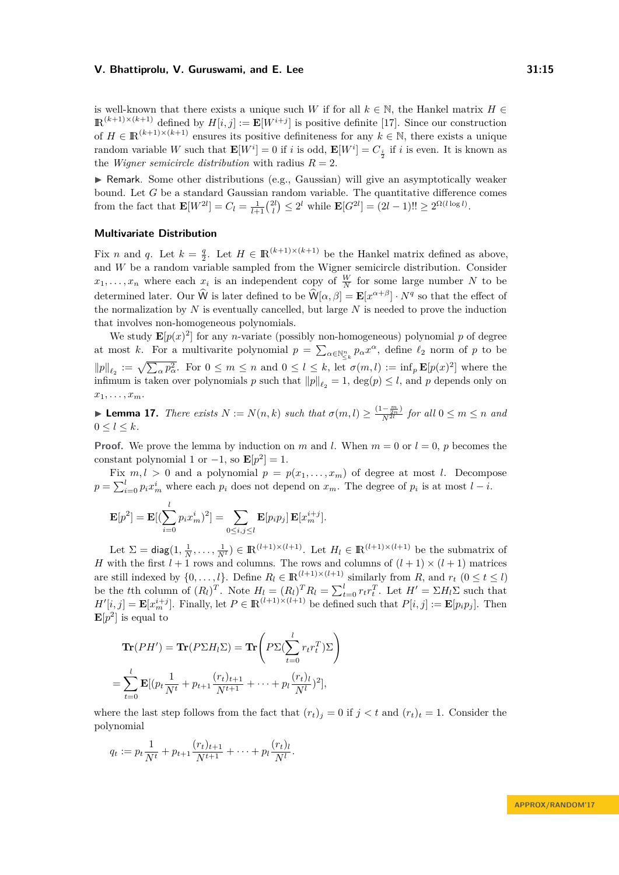is well-known that there exists a unique such *W* if for all  $k \in \mathbb{N}$ , the Hankel matrix  $H \in$  $\mathbb{R}^{(k+1)\times (k+1)}$  defined by  $H[i, j] := \mathbb{E}[W^{i+j}]$  is positive definite [\[17\]](#page-16-16). Since our construction of  $H \in \mathbb{R}^{(k+1)\times (k+1)}$  ensures its positive definiteness for any  $k \in \mathbb{N}$ , there exists a unique random variable *W* such that  $\mathbf{E}[W^i] = 0$  if *i* is odd,  $\mathbf{E}[W^i] = C_{\frac{i}{2}}$  if *i* is even. It is known as the *Wigner semicircle distribution* with radius  $R = 2$ .

 $\blacktriangleright$  Remark. Some other distributions (e.g., Gaussian) will give an asymptotically weaker bound. Let *G* be a standard Gaussian random variable. The quantitative difference comes from the fact that  $\mathbf{E}[W^{2l}] = C_l = \frac{1}{l+1} {2l \choose l} \leq 2^l$  while  $\mathbf{E}[G^{2l}] = (2l-1)!! \geq 2^{\Omega(l \log l)}$ .

# **Multivariate Distribution**

Fix *n* and *q*. Let  $k = \frac{q}{2}$ . Let  $H \in \mathbb{R}^{(k+1)\times(k+1)}$  be the Hankel matrix defined as above, and *W* be a random variable sampled from the Wigner semicircle distribution. Consider  $x_1, \ldots, x_n$  where each  $x_i$  is an independent copy of  $\frac{W}{N}$  for some large number *N* to be determined later. Our  $\hat{W}$  is later defined to be  $\hat{W}[\alpha, \beta] = \mathbf{E}[x^{\alpha+\beta}] \cdot N^q$  so that the effect of the normalization by *N* is eventually cancelled, but large *N* is needed to prove the induction that involves non-homogeneous polynomials.

We study  $\mathbf{E}[p(x)^2]$  for any *n*-variate (possibly non-homogeneous) polynomial *p* of degree at most *k*. For a multivarite polynomial  $p = \sum_{\alpha \in \mathbb{N}_{\leq k}^n} p_{\alpha} x^{\alpha}$ , define  $\ell_2$  norm of *p* to be  $||p||_{\ell_2} := \sqrt{\sum_{\alpha} p_{\alpha}^2}$ . For  $0 \leq m \leq n$  and  $0 \leq l \leq k$ , let  $\sigma(m, l) := \inf_p \mathbf{E}[p(x)^2]$  where the infimum is taken over polynomials  $p$  such that  $||p||_{\ell_2} = 1$ ,  $deg(p) \leq l$ , and  $p$  depends only on  $x_1, \ldots, x_m$ .

<span id="page-14-0"></span>**► Lemma 17.** *There exists*  $N := N(n, k)$  *such that*  $\sigma(m, l) \geq \frac{(1 - \frac{m}{2n})}{N^{2l}}$  $\frac{(-\frac{1}{2n})}{N^{2l}}$  for all  $0 \leq m \leq n$  and  $0 < l < k$ .

**Proof.** We prove the lemma by induction on *m* and *l*. When  $m = 0$  or  $l = 0$ , *p* becomes the constant polynomial 1 or  $-1$ , so  $\mathbf{E}[p^2] = 1$ .

Fix  $m, l > 0$  and a polynomial  $p = p(x_1, \ldots, x_m)$  of degree at most *l*. Decompose  $p = \sum_{i=0}^{l} p_i x_m^i$  where each  $p_i$  does not depend on  $x_m$ . The degree of  $p_i$  is at most  $l - i$ .

$$
\mathbf{E}[p^2] = \mathbf{E}[(\sum_{i=0}^l p_i x_m^i)^2] = \sum_{0 \le i,j \le l} \mathbf{E}[p_i p_j] \mathbf{E}[x_m^{i+j}].
$$

Let  $\Sigma = \text{diag}(1, \frac{1}{N}, \dots, \frac{1}{N^l}) \in \mathbb{R}^{(l+1)\times(l+1)}$ . Let  $H_l \in \mathbb{R}^{(l+1)\times(l+1)}$  be the submatrix of *H* with the first  $l + 1$  rows and columns. The rows and columns of  $(l + 1) \times (l + 1)$  matrices are still indexed by  $\{0, \ldots, l\}$ . Define  $R_l \in \mathbb{R}^{(l+1)\times(l+1)}$  similarly from  $R$ , and  $r_t$   $(0 \le t \le l)$ be the the column of  $(R_l)^T$ . Note  $H_l = (R_l)^T R_l = \sum_{t=0}^l r_t r_t^T$ . Let  $H' = \sum_{l=0}^l r_l \sum_{t=0}^l r_t r_t^T$ .  $H'[i, j] = \mathbf{E}[x_m^{i+j}]$ . Finally, let  $P \in \mathbb{R}^{(l+1)\times(l+1)}$  be defined such that  $P[i, j] := \mathbf{E}[p_i p_j]$ . Then  $\mathbf{E}[p^2]$  is equal to

$$
\mathbf{Tr}(PH') = \mathbf{Tr}(P\Sigma H_l \Sigma) = \mathbf{Tr}\left(P\Sigma(\sum_{t=0}^l r_t r_t^T) \Sigma\right)
$$

$$
= \sum_{t=0}^l \mathbf{E}[(p_t \frac{1}{N^t} + p_{t+1} \frac{(r_t)_{t+1}}{N^{t+1}} + \dots + p_l \frac{(r_t)_l}{N^l})^2],
$$

where the last step follows from the fact that  $(r_t)_j = 0$  if  $j < t$  and  $(r_t)_t = 1$ . Consider the polynomial

$$
q_t := p_t \frac{1}{N^t} + p_{t+1} \frac{(r_t)_{t+1}}{N^{t+1}} + \dots + p_l \frac{(r_t)_l}{N^l}.
$$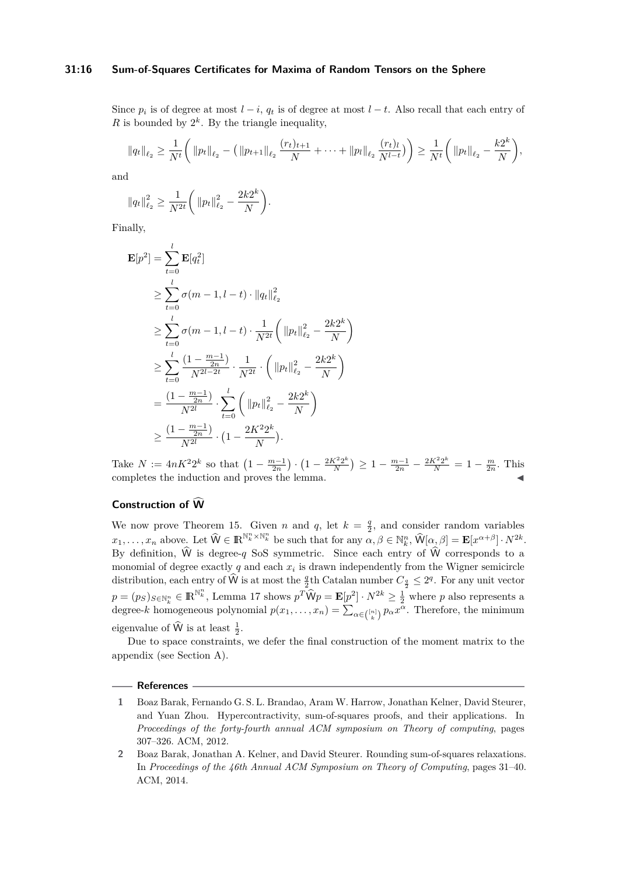## **31:16 Sum-of-Squares Certificates for Maxima of Random Tensors on the Sphere**

Since  $p_i$  is of degree at most  $l - i$ ,  $q_t$  is of degree at most  $l - t$ . Also recall that each entry of R is bounded by  $2^k$ . By the triangle inequality,

$$
||q_t||_{\ell_2} \geq \frac{1}{N^t} \bigg(||p_t||_{\ell_2} - (||p_{t+1}||_{\ell_2} \frac{(r_t)_{t+1}}{N} + \cdots + ||p_l||_{\ell_2} \frac{(r_t)_l}{N^{l-t}})\bigg) \geq \frac{1}{N^t} \bigg(||p_t||_{\ell_2} - \frac{k2^k}{N}\bigg),
$$

and

$$
||q_t||_{\ell_2}^2 \ge \frac{1}{N^{2t}} \bigg(||p_t||_{\ell_2}^2 - \frac{2k2^k}{N}\bigg).
$$

Finally,

$$
\mathbf{E}[p^2] = \sum_{t=0}^{l} \mathbf{E}[q_t^2]
$$
\n
$$
\geq \sum_{t=0}^{l} \sigma(m-1, l-t) \cdot ||q_t||_{\ell_2}^2
$$
\n
$$
\geq \sum_{t=0}^{l} \sigma(m-1, l-t) \cdot \frac{1}{N^{2t}} \left( ||p_t||_{\ell_2}^2 - \frac{2k2^k}{N} \right)
$$
\n
$$
\geq \sum_{t=0}^{l} \frac{(1 - \frac{m-1}{2n})}{N^{2l-2t}} \cdot \frac{1}{N^{2t}} \cdot \left( ||p_t||_{\ell_2}^2 - \frac{2k2^k}{N} \right)
$$
\n
$$
= \frac{(1 - \frac{m-1}{2n})}{N^{2l}} \cdot \sum_{t=0}^{l} \left( ||p_t||_{\ell_2}^2 - \frac{2k2^k}{N} \right)
$$
\n
$$
\geq \frac{(1 - \frac{m-1}{2n})}{N^{2l}} \cdot \left( 1 - \frac{2K^2 2^k}{N} \right).
$$

Take  $N := 4nK^2 2^k$  so that  $\left(1 - \frac{m-1}{2n}\right) \cdot \left(1 - \frac{2K^2 2^k}{N}\right)$  $\frac{X^2 2^k}{N}$   $\geq 1 - \frac{m-1}{2n} - \frac{2K^2 2^k}{N} = 1 - \frac{m}{2n}$ . This  $\blacksquare$  completes the induction and proves the lemma.

# **Construction of W**

We now prove Theorem [15.](#page-13-1) Given *n* and *q*, let  $k = \frac{q}{2}$ , and consider random variables  $x_1, \ldots, x_n$  above. Let  $\widehat{W} \in \mathbb{R}^{\mathbb{N}_k^n \times \mathbb{N}_k^n}$  be such that for any  $\alpha, \beta \in \mathbb{N}_k^n$ ,  $\widehat{W}[\alpha, \beta] = \mathbf{E}[x^{\alpha+\beta}] \cdot N^{2k}$ . By definition,  $\hat{W}$  is degree-*q* SoS symmetric. Since each entry of  $\hat{W}$  corresponds to a monomial of degree exactly  $q$  and each  $x_i$  is drawn independently from the Wigner semicircle distribution, each entry of  $\widehat{W}$  is at most the  $\frac{q}{2}$ th Catalan number  $C_{\frac{q}{2}} \leq 2^q$ . For any unit vector  $p = (p_S)_{S \in \mathbb{N}_k^n} \in \mathbb{R}^{\mathbb{N}_k^n}$ , Lemma [17](#page-14-0) shows  $p^T \widehat{W} p = \mathbb{E}[p^2] \cdot N^{2k} \ge \frac{1}{2}$  where *p* also represents a degree-*k* homogeneous polynomial  $p(x_1, \ldots, x_n) = \sum_{\alpha \in \binom{[n]}{k}} p_{\alpha} x^{\alpha}$ . Therefore, the minimum eigenvalue of  $\hat{W}$  is at least  $\frac{1}{2}$ .

Due to space constraints, we defer the final construction of the moment matrix to the appendix (see Section [A\)](#page-16-15).

#### **References**

- <span id="page-15-0"></span>**1** Boaz Barak, Fernando G. S. L. Brandao, Aram W. Harrow, Jonathan Kelner, David Steurer, and Yuan Zhou. Hypercontractivity, sum-of-squares proofs, and their applications. In *Proceedings of the forty-fourth annual ACM symposium on Theory of computing*, pages 307–326. ACM, 2012.
- <span id="page-15-1"></span>**2** Boaz Barak, Jonathan A. Kelner, and David Steurer. Rounding sum-of-squares relaxations. In *Proceedings of the 46th Annual ACM Symposium on Theory of Computing*, pages 31–40. ACM, 2014.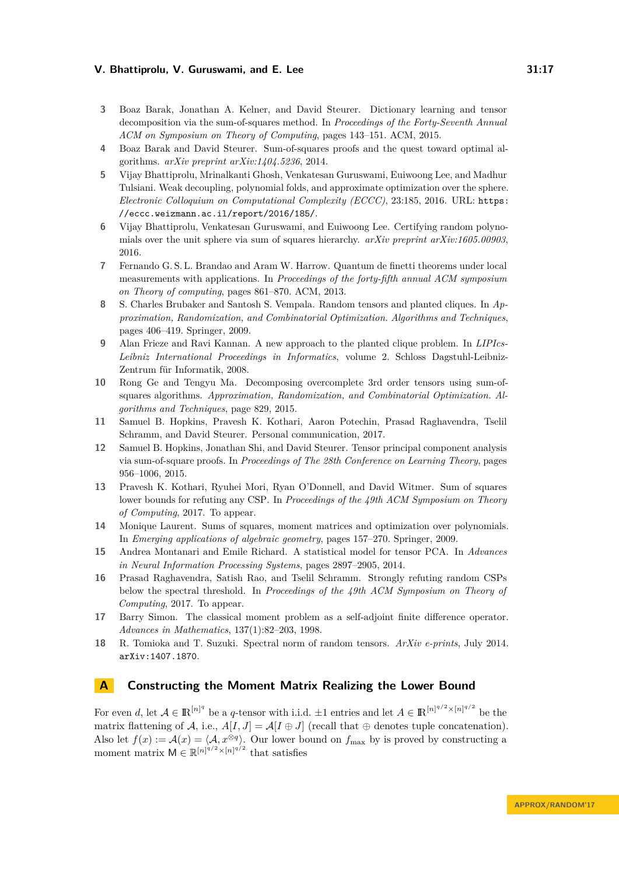- <span id="page-16-3"></span>**3** Boaz Barak, Jonathan A. Kelner, and David Steurer. Dictionary learning and tensor decomposition via the sum-of-squares method. In *Proceedings of the Forty-Seventh Annual ACM on Symposium on Theory of Computing*, pages 143–151. ACM, 2015.
- <span id="page-16-13"></span>**4** Boaz Barak and David Steurer. Sum-of-squares proofs and the quest toward optimal algorithms. *arXiv preprint arXiv:1404.5236*, 2014.
- <span id="page-16-11"></span>**5** Vijay Bhattiprolu, Mrinalkanti Ghosh, Venkatesan Guruswami, Euiwoong Lee, and Madhur Tulsiani. Weak decoupling, polynomial folds, and approximate optimization over the sphere. *Electronic Colloquium on Computational Complexity (ECCC)*, 23:185, 2016. URL: [https:](https://eccc.weizmann.ac.il/report/2016/185/) [//eccc.weizmann.ac.il/report/2016/185/](https://eccc.weizmann.ac.il/report/2016/185/).
- <span id="page-16-12"></span>**6** Vijay Bhattiprolu, Venkatesan Guruswami, and Euiwoong Lee. Certifying random polynomials over the unit sphere via sum of squares hierarchy. *arXiv preprint arXiv:1605.00903*, 2016.
- <span id="page-16-1"></span>**7** Fernando G. S. L. Brandao and Aram W. Harrow. Quantum de finetti theorems under local measurements with applications. In *Proceedings of the forty-fifth annual ACM symposium on Theory of computing*, pages 861–870. ACM, 2013.
- <span id="page-16-8"></span>**8** S. Charles Brubaker and Santosh S. Vempala. Random tensors and planted cliques. In *Approximation, Randomization, and Combinatorial Optimization. Algorithms and Techniques*, pages 406–419. Springer, 2009.
- <span id="page-16-7"></span>**9** Alan Frieze and Ravi Kannan. A new approach to the planted clique problem. In *LIPIcs-Leibniz International Proceedings in Informatics*, volume 2. Schloss Dagstuhl-Leibniz-Zentrum für Informatik, 2008.
- <span id="page-16-4"></span>**10** Rong Ge and Tengyu Ma. Decomposing overcomplete 3rd order tensors using sum-ofsquares algorithms. *Approximation, Randomization, and Combinatorial Optimization. Algorithms and Techniques*, page 829, 2015.
- <span id="page-16-10"></span>**11** Samuel B. Hopkins, Pravesh K. Kothari, Aaron Potechin, Prasad Raghavendra, Tselil Schramm, and David Steurer. Personal communication, 2017.
- <span id="page-16-6"></span>**12** Samuel B. Hopkins, Jonathan Shi, and David Steurer. Tensor principal component analysis via sum-of-square proofs. In *Proceedings of The 28th Conference on Learning Theory*, pages 956–1006, 2015.
- <span id="page-16-9"></span>**13** Pravesh K. Kothari, Ryuhei Mori, Ryan O'Donnell, and David Witmer. Sum of squares lower bounds for refuting any CSP. In *Proceedings of the 49th ACM Symposium on Theory of Computing*, 2017. To appear.
- <span id="page-16-14"></span>**14** Monique Laurent. Sums of squares, moment matrices and optimization over polynomials. In *Emerging applications of algebraic geometry*, pages 157–270. Springer, 2009.
- <span id="page-16-5"></span>**15** Andrea Montanari and Emile Richard. A statistical model for tensor PCA. In *Advances in Neural Information Processing Systems*, pages 2897–2905, 2014.
- <span id="page-16-2"></span>**16** Prasad Raghavendra, Satish Rao, and Tselil Schramm. Strongly refuting random CSPs below the spectral threshold. In *Proceedings of the 49th ACM Symposium on Theory of Computing*, 2017. To appear.
- <span id="page-16-16"></span>**17** Barry Simon. The classical moment problem as a self-adjoint finite difference operator. *Advances in Mathematics*, 137(1):82–203, 1998.
- <span id="page-16-0"></span>**18** R. Tomioka and T. Suzuki. Spectral norm of random tensors. *ArXiv e-prints*, July 2014. [arXiv:1407.1870](http://arxiv.org/abs/1407.1870).

# <span id="page-16-15"></span>**A Constructing the Moment Matrix Realizing the Lower Bound**

For even *d*, let  $A \in \mathbb{R}^{[n]^q}$  be a *q*-tensor with i.i.d.  $\pm 1$  entries and let  $A \in \mathbb{R}^{[n]^{q/2} \times [n]^{q/2}}$  be the matrix flattening of A, i.e.,  $A[I, J] = A[I \oplus J]$  (recall that  $\oplus$  denotes tuple concatenation). Also let  $f(x) := \mathcal{A}(x) = \langle \mathcal{A}, x^{\otimes q} \rangle$ . Our lower bound on  $f_{\text{max}}$  by is proved by constructing a moment matrix  $M \in \mathbb{R}^{\lfloor n \rfloor^{q/2} \times \lfloor n \rfloor^{q/2}}$  that satisfies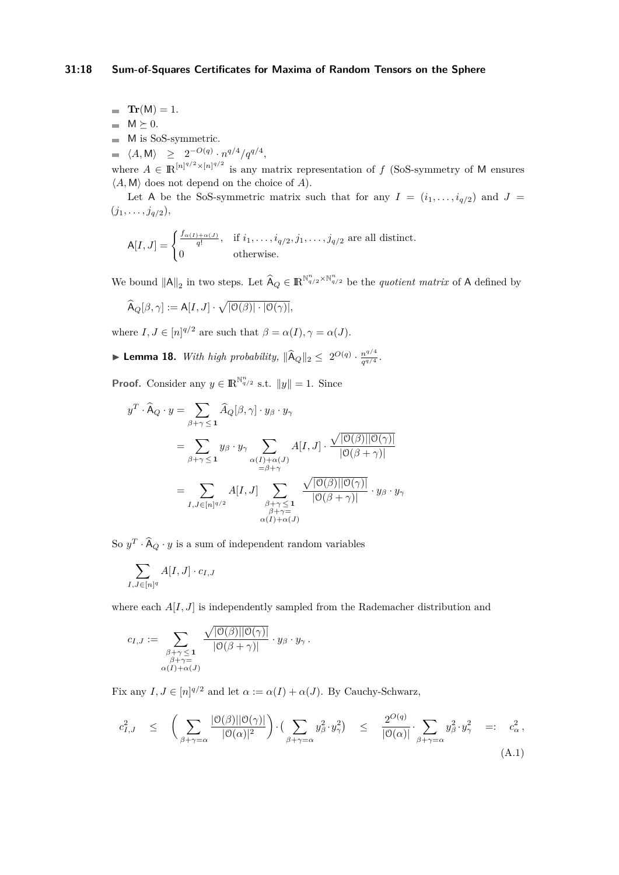**Tr** $(M) = 1$ .  $\blacksquare$  M  $\succeq$  0.  $\quad \blacksquare \quad$  M is SoS-symmetric.  $\langle A, M \rangle \geq 2^{-O(q)} \cdot n^{q/4} / q^{q/4},$ 

where  $A \in \mathbb{R}^{\lfloor n \rfloor^{q/2} \times \lfloor n \rfloor^{q/2}}$  is any matrix representation of f (SoS-symmetry of M ensures  $\langle A, M \rangle$  does not depend on the choice of *A*).

Let A be the SoS-symmetric matrix such that for any  $I = (i_1, \ldots, i_{q/2})$  and  $J =$  $(j_1, \ldots, j_{q/2}),$ 

$$
A[I,J] = \begin{cases} \frac{f_{\alpha(I) + \alpha(J)}}{q!}, & \text{if } i_1, \dots, i_{q/2}, j_1, \dots, j_{q/2} \text{ are all distinct.} \\ 0 & \text{otherwise.} \end{cases}
$$

We bound  $||A||_2$  in two steps. Let  $\widehat{A}_Q \in \mathbb{R}^{\mathbb{N}_{q/2}^n \times \mathbb{N}_{q/2}^n}$  be the *quotient matrix* of A defined by

$$
\widehat{\mathsf{A}}_{Q}[\beta,\gamma] := \mathsf{A}[I,J] \cdot \sqrt{|\mathsf{O}(\beta)| \cdot |\mathsf{O}(\gamma)|},
$$

where  $I, J \in [n]^{q/2}$  are such that  $\beta = \alpha(I), \gamma = \alpha(J)$ .

<span id="page-17-1"></span>▶ **Lemma 18.** *With high probability,*  $\|\hat{A}_Q\|_2 \le 2^{O(q)} \cdot \frac{n^{q/4}}{q^{q/4}}$  $\frac{n^{q/4}}{q^{q/4}}$ .

**Proof.** Consider any  $y \in \mathbb{R}^{\mathbb{N}_{q/2}^n}$  s.t.  $||y|| = 1$ . Since

$$
y^T \cdot \widehat{A}_Q \cdot y = \sum_{\beta + \gamma \le 1} \widehat{A}_Q[\beta, \gamma] \cdot y_{\beta} \cdot y_{\gamma}
$$
  
= 
$$
\sum_{\beta + \gamma \le 1} y_{\beta} \cdot y_{\gamma} \sum_{\substack{\alpha(I) + \alpha(J) \\ = \beta + \gamma}} A[I, J] \cdot \frac{\sqrt{|\mathcal{O}(\beta)||\mathcal{O}(\gamma)|}}{|\mathcal{O}(\beta + \gamma)|}
$$
  
= 
$$
\sum_{I, J \in [n]^{q/2}} A[I, J] \sum_{\substack{\beta + \gamma \le 1 \\ \beta + \gamma = \alpha}} \frac{\sqrt{|\mathcal{O}(\beta)||\mathcal{O}(\gamma)|}}{|\mathcal{O}(\beta + \gamma)|} \cdot y_{\beta} \cdot y_{\gamma}
$$

So  $y^T \cdot \hat{A}_Q \cdot y$  is a sum of independent random variables

$$
\sum_{I,J \in [n]^q} A[I,J] \cdot c_{I,J}
$$

where each  $A[I, J]$  is independently sampled from the Rademacher distribution and

<span id="page-17-0"></span>
$$
c_{I,J} := \sum_{\substack{\beta+\gamma \leq 1 \\ \beta+\gamma = \\ \alpha(I)+\alpha(J)}} \frac{\sqrt{|\mathbb{O}(\beta)||\mathbb{O}(\gamma)|}}{|\mathbb{O}(\beta+\gamma)|} \cdot y_{\beta} \cdot y_{\gamma}.
$$

Fix any  $I, J \in [n]^{q/2}$  and let  $\alpha := \alpha(I) + \alpha(J)$ . By Cauchy-Schwarz,

$$
c_{I,J}^2 \leq \left( \sum_{\beta+\gamma=\alpha} \frac{|\mathcal{O}(\beta)||\mathcal{O}(\gamma)|}{|\mathcal{O}(\alpha)|^2} \right) \cdot \left( \sum_{\beta+\gamma=\alpha} y_\beta^2 \cdot y_\gamma^2 \right) \leq \frac{2^{O(q)}}{|\mathcal{O}(\alpha)|} \cdot \sum_{\beta+\gamma=\alpha} y_\beta^2 \cdot y_\gamma^2 =: c_\alpha^2,
$$
\n(A.1)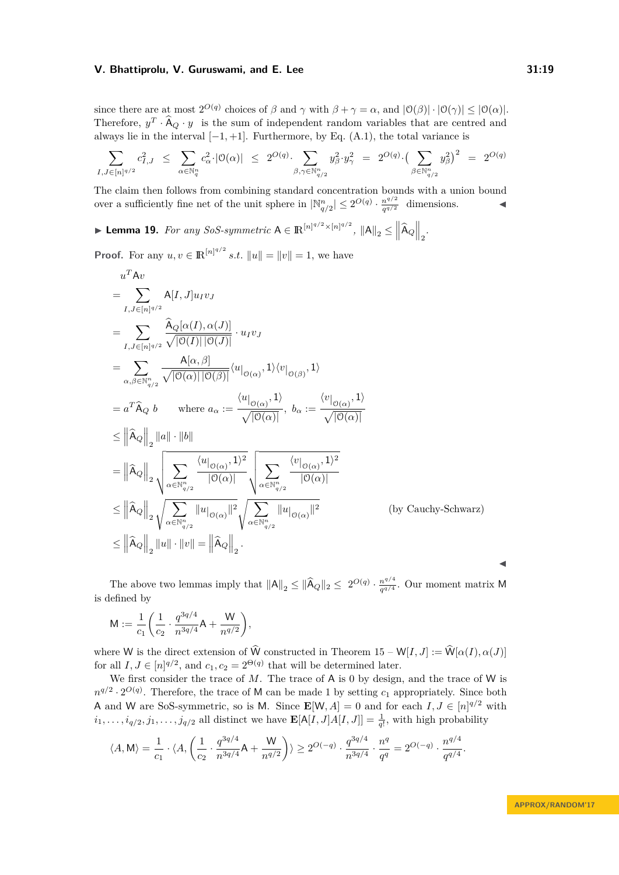since there are at most  $2^{O(q)}$  choices of  $\beta$  and  $\gamma$  with  $\beta + \gamma = \alpha$ , and  $|\mathcal{O}(\beta)| \cdot |\mathcal{O}(\gamma)| \leq |\mathcal{O}(\alpha)|$ . Therefore,  $y^T \cdot \hat{A}_Q \cdot y$  is the sum of independent random variables that are centred and always lie in the interval  $[-1, +1]$ . Furthermore, by Eq.  $(A.1)$ , the total variance is

$$
\sum_{I,J\in [n]^{q/2}} c_{I,J}^2 \ \leq \ \sum_{\alpha\in \mathbb{N}_q^n} c_\alpha^2 \cdot |\mathbb{O}(\alpha)| \ \leq \ 2^{O(q)} \cdot \sum_{\beta,\gamma\in \mathbb{N}_{q/2}^n} y_\beta^2 \cdot y_\gamma^2 \ = \ 2^{O(q)} \cdot \big(\sum_{\beta\in \mathbb{N}_{q/2}^n} y_\beta^2\big)^2 \ = \ 2^{O(q)}
$$

The claim then follows from combining standard concentration bounds with a union bound over a sufficiently fine net of the unit sphere in  $|\mathbb{N}^n_{q/2}| \leq 2^{O(q)} \cdot \frac{n^{q/2}}{q^{q/2}}$  $\frac{n^{q/2}}{q^{q/2}}$  dimensions.

<span id="page-18-0"></span>▶ Lemma 19. *For any SoS-symmetric*  $A \in \mathbb{R}^{\lfloor n \rfloor^{q/2} \times \lfloor n \rfloor^{q/2}}$ ,  $||A||_2 \leq ||\hat{A}_Q||_2$ .

**Proof.** For any  $u, v \in \mathbb{R}^{\lfloor n \rfloor^{q/2}}$  *s.t.*  $||u|| = ||v|| = 1$ , we have

$$
u^T A v
$$
  
\n
$$
= \sum_{I,J \in [n]^{q/2}} A[I,J] u_I v_J
$$
  
\n
$$
= \sum_{I,J \in [n]^{q/2}} \frac{\widehat{A}_Q[\alpha(I), \alpha(J)]}{\sqrt{|\mathbb{O}(I)| |\mathbb{O}(J)|}} \cdot u_I v_J
$$
  
\n
$$
= \sum_{\alpha,\beta \in \mathbb{N}_{q/2}^n} \frac{A[\alpha,\beta]}{\sqrt{|\mathbb{O}(\alpha)| |\mathbb{O}(\beta)|}} \langle u|_{\mathbb{O}(\alpha)}, 1 \rangle \langle v|_{\mathbb{O}(\beta)}, 1 \rangle
$$
  
\n
$$
= a^T \widehat{A}_Q b \qquad \text{where } a_\alpha := \frac{\langle u|_{\mathbb{O}(\alpha)}, 1 \rangle}{\sqrt{|\mathbb{O}(\alpha)|}}, b_\alpha := \frac{\langle v|_{\mathbb{O}(\alpha)}, 1 \rangle}{\sqrt{|\mathbb{O}(\alpha)|}}
$$
  
\n
$$
\leq ||\widehat{A}_Q||_2 ||a|| \cdot ||b||
$$
  
\n
$$
= ||\widehat{A}_Q||_2 \sqrt{\sum_{\alpha \in \mathbb{N}_{q/2}^n} \frac{\langle u|_{\mathbb{O}(\alpha)}, 1 \rangle^2}{|\mathbb{O}(\alpha)|}} \sqrt{\sum_{\alpha \in \mathbb{N}_{q/2}^n} \frac{\langle v|_{\mathbb{O}(\alpha)}, 1 \rangle^2}{|\mathbb{O}(\alpha)|}}
$$
  
\n
$$
\leq ||\widehat{A}_Q||_2 \sqrt{\sum_{\alpha \in \mathbb{N}_{q/2}^n} ||u|_{\mathbb{O}(\alpha)} ||^2} \sqrt{\sum_{\alpha \in \mathbb{N}_{q/2}^n} ||u|_{\mathbb{O}(\alpha)} ||^2}
$$
  
\n
$$
\leq ||\widehat{A}_Q||_2 ||u|| \cdot ||v|| = ||\widehat{A}_Q||_2.
$$
 (by Cauchy-Schwarz)

The above two lemmas imply that  $||A||_2 \le ||\widehat{A}_Q||_2 \le 2^{O(q)} \cdot \frac{n^{q/4}}{q^{q/4}}$  $\frac{n^{q}}{q^{q/4}}$ . Our moment matrix M is defined by

$$
M := \frac{1}{c_1} \bigg( \frac{1}{c_2} \cdot \frac{q^{3q/4}}{n^{3q/4}} A + \frac{W}{n^{q/2}} \bigg),
$$

where W is the direct extension of  $\widehat{W}$  constructed in Theorem [15](#page-13-1) – W[*I, J*] :=  $\widehat{W}[\alpha(I), \alpha(J)]$ for all  $I, J \in [n]^{q/2}$ , and  $c_1, c_2 = 2^{\Theta(q)}$  that will be determined later.

We first consider the trace of *M*. The trace of **A** is 0 by design, and the trace of **W** is  $n^{q/2} \cdot 2^{O(q)}$ . Therefore, the trace of M can be made 1 by setting  $c_1$  appropriately. Since both A and W are SoS-symmetric, so is M. Since  $\mathbf{E}[W, A] = 0$  and for each  $I, J \in [n]^{q/2}$  with  $i_1, \ldots, i_{q/2}, j_1, \ldots, j_{q/2}$  all distinct we have  $\mathbf{E}[A[I, J]A[I, J]] = \frac{1}{q!}$ , with high probability

$$
\langle A, M \rangle = \frac{1}{c_1} \cdot \langle A, \left( \frac{1}{c_2} \cdot \frac{q^{3q/4}}{n^{3q/4}} A + \frac{W}{n^{q/2}} \right) \rangle \ge 2^{O(-q)} \cdot \frac{q^{3q/4}}{n^{3q/4}} \cdot \frac{n^q}{q^q} = 2^{O(-q)} \cdot \frac{n^{q/4}}{q^{q/4}}.
$$

 $\blacktriangleleft$